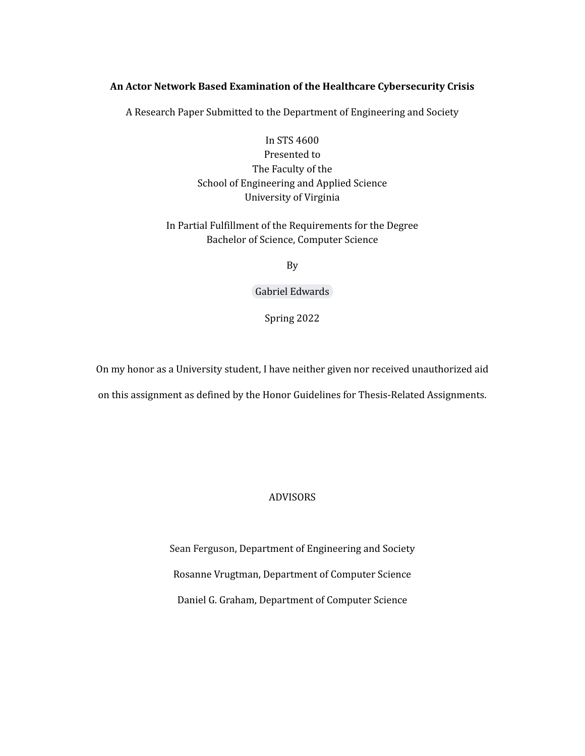## **An Actor Network Based Examination of the Healthcare Cybersecurity Crisis**

A Research Paper Submitted to the Department of Engineering and Society

# In STS 4600 Presented to The Faculty of the School of Engineering and Applied Science University of Virginia

## In Partial Fulfillment of the Requirements for the Degree Bachelor of Science, Computer Science

By

Gabriel [Edwards](mailto:gse3ez@virginia.edu)

Spring 2022

On my honor as a University student, I have neither given nor received unauthorized aid on this assignment as defined by the Honor Guidelines for Thesis-Related Assignments.

## ADVISORS

Sean Ferguson, Department of Engineering and Society Rosanne Vrugtman, Department of Computer Science Daniel G. Graham, Department of Computer Science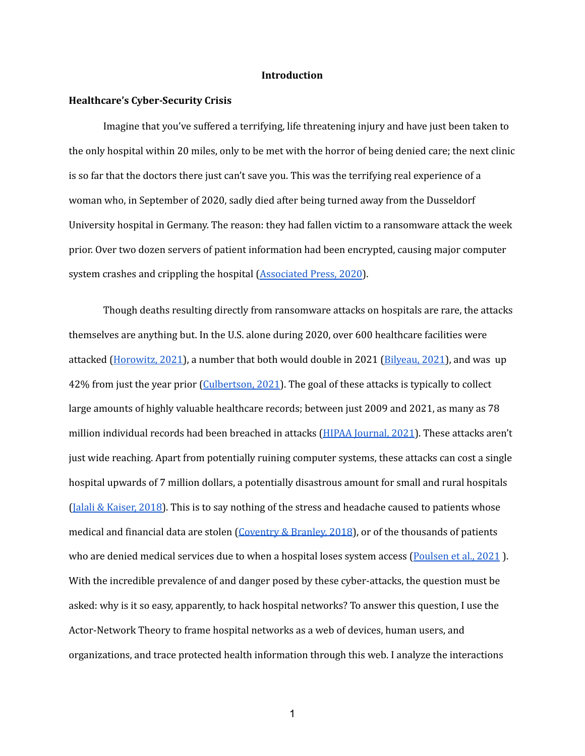#### **Introduction**

#### **Healthcare's Cyber-Security Crisis**

Imagine that you've suffered a terrifying, life threatening injury and have just been taken to the only hospital within 20 miles, only to be met with the horror of being denied care; the next clinic is so far that the doctors there just can't save you. This was the terrifying real experience of a woman who, in September of 2020, sadly died after being turned away from the Dusseldorf University hospital in Germany. The reason: they had fallen victim to a ransomware attack the week prior. Over two dozen servers of patient information had been encrypted, causing major computer system crashes and crippling the hospital ([Associated](https://www.nbcnews.com/?icid=nav_bar_logo) Press, 2020).

Though deaths resulting directly from ransomware attacks on hospitals are rare, the attacks themselves are anything but. In the U.S. alone during 2020, over 600 healthcare facilities were attacked (*[Horowitz,](https://www.fiercehealthcare.com/tech/ransomware-attacks-cost-healthcare-industry-21b-2020-here-s-how-many-attacks-hit-providers) 2021*), a number that both would double in 2021 (*Bilyeau, 2021*), and was up 42% from just the year prior ([Culbertson,](https://www.forbes.com/sites/forbestechcouncil/2021/06/07/increased-cyberattacks-on-healthcare-institutions-shows-the-need-for-greater-cybersecurity/?sh=60fc75985650) 2021). The goal of these attacks is typically to collect large amounts of highly valuable healthcare records; between just 2009 and 2021, as many as 78 million individual records had been breached in attacks (HIPAA [Journal,](https://www.hipaajournal.com/2020-healthcare-data-breach-report-us/#:~:text=According%20to%20Emsisoft%2C%20at%20least,and%202.69%25%20of%20breached%20records.) 2021). These attacks aren't just wide reaching. Apart from potentially ruining computer systems, these attacks can cost a single hospital upwards of 7 million dollars, a potentially disastrous amount for small and rural hospitals (Jalali & [Kaiser,](https://www.jmir.org/2018/5/e10059/) 2018). This is to say nothing of the stress and headache caused to patients whose medical and financial data are stolen ([Coventry](https://pubmed.ncbi.nlm.nih.gov/29903648/) & Branley, 2018), or of the thousands of patients who are denied medical services due to when a hospital loses system access ([Poulsen](https://www.wsj.com/articles/ransomware-hackers-hospital-first-alleged-death-11633008116) et al., 2021). With the incredible prevalence of and danger posed by these cyber-attacks, the question must be asked: why is it so easy, apparently, to hack hospital networks? To answer this question, I use the Actor-Network Theory to frame hospital networks as a web of devices, human users, and organizations, and trace protected health information through this web. I analyze the interactions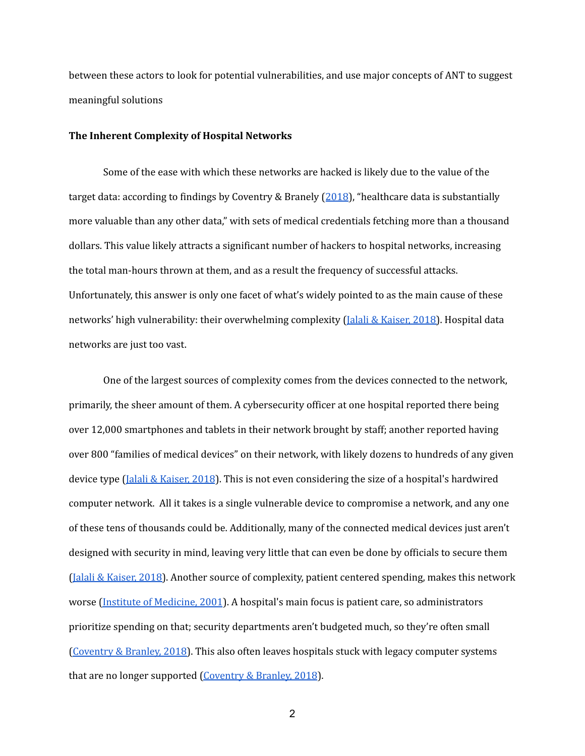between these actors to look for potential vulnerabilities, and use major concepts of ANT to suggest meaningful solutions

## **The Inherent Complexity of Hospital Networks**

Some of the ease with which these networks are hacked is likely due to the value of the target data: according to findings by Coventry & Branely ([2018\)](https://core.ac.uk/reader/157854043?utm_source=linkout), "healthcare data is substantially more valuable than any other data," with sets of medical credentials fetching more than a thousand dollars. This value likely attracts a significant number of hackers to hospital networks, increasing the total man-hours thrown at them, and as a result the frequency of successful attacks. Unfortunately, this answer is only one facet of what's widely pointed to as the main cause of these networks' high vulnerability: their overwhelming complexity (*Jalali & [Kaiser,](https://www.jmir.org/2018/5/e10059/) 2018*). Hospital data networks are just too vast.

One of the largest sources of complexity comes from the devices connected to the network, primarily, the sheer amount of them. A cybersecurity officer at one hospital reported there being over 12,000 smartphones and tablets in their network brought by staff; another reported having over 800 "families of medical devices" on their network, with likely dozens to hundreds of any given device type (Jalali & [Kaiser,](https://www.jmir.org/2018/5/e10059/) 2018). This is not even considering the size of a hospital's hardwired computer network. All it takes is a single vulnerable device to compromise a network, and any one of these tens of thousands could be. Additionally, many of the connected medical devices just aren't designed with security in mind, leaving very little that can even be done by officials to secure them (Jalali & [Kaiser,](https://www.jmir.org/2018/5/e10059/) 2018). Another source of complexity, patient centered spending, makes this network worse (Institute of [Medicine,](https://www.ncbi.nlm.nih.gov/books/NBK222274/pdf/Bookshelf_NBK222274.pdf) 2001). A hospital's main focus is patient care, so administrators prioritize spending on that; security departments aren't budgeted much, so they're often small [\(Coventry](https://pubmed.ncbi.nlm.nih.gov/29903648/) & Branley, 2018). This also often leaves hospitals stuck with legacy computer systems that are no longer supported [\(Coventry](https://pubmed.ncbi.nlm.nih.gov/29903648/) & Branley, 2018).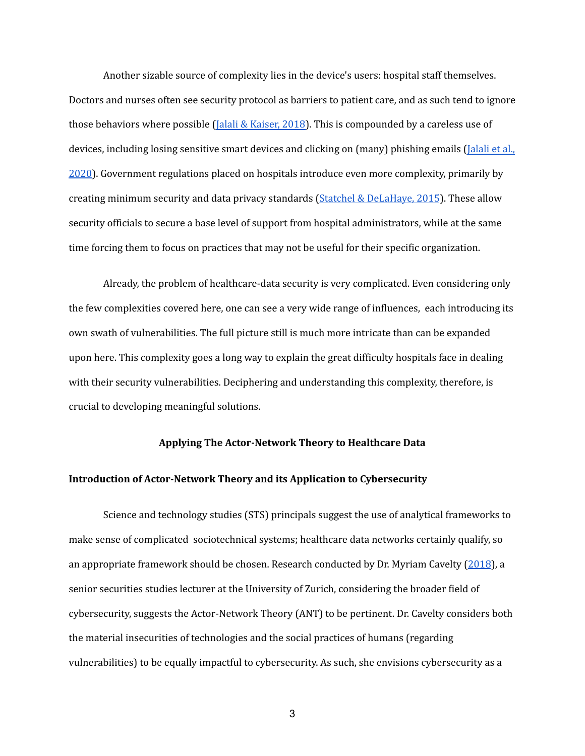Another sizable source of complexity lies in the device's users: hospital staff themselves. Doctors and nurses often see security protocol as barriers to patient care, and as such tend to ignore those behaviors where possible (Jalali & [Kaiser,](https://www.jmir.org/2018/5/e10059/) 2018). This is compounded by a careless use of devices, including losing sensitive smart devices and clicking on (many) phishing emails [\(Jalali](https://www.jmir.org/2020/1/e16775?utm_source=TrendMD&utm_medium=cpc&utm_campaign=JMIR_TrendMD_0) et al., [2020](https://www.jmir.org/2020/1/e16775?utm_source=TrendMD&utm_medium=cpc&utm_campaign=JMIR_TrendMD_0)). Government regulations placed on hospitals introduce even more complexity, primarily by creating minimum security and data privacy standards (Statchel & [DeLaHaye,](https://pdfs.semanticscholar.org/41f8/91e32be7b3b4e4f4002139554581518daaa3.pdf) 2015). These allow security officials to secure a base level of support from hospital administrators, while at the same time forcing them to focus on practices that may not be useful for their specific organization.

Already, the problem of healthcare-data security is very complicated. Even considering only the few complexities covered here, one can see a very wide range of influences, each introducing its own swath of vulnerabilities. The full picture still is much more intricate than can be expanded upon here. This complexity goes a long way to explain the great difficulty hospitals face in dealing with their security vulnerabilities. Deciphering and understanding this complexity, therefore, is crucial to developing meaningful solutions.

#### **Applying The Actor-Network Theory to Healthcare Data**

#### **Introduction of Actor-Network Theory and its Application to Cybersecurity**

Science and technology studies (STS) principals suggest the use of analytical frameworks to make sense of complicated sociotechnical systems; healthcare data networks certainly qualify, so an appropriate framework should be chosen. Research conducted by Dr. Myriam Cavelty ([2018](https://www.cogitatiopress.com/politicsandgovernance/article/view/1385/1385)), a senior securities studies lecturer at the University of Zurich, considering the broader field of cybersecurity, suggests the Actor-Network Theory (ANT) to be pertinent. Dr. Cavelty considers both the material insecurities of technologies and the social practices of humans (regarding vulnerabilities) to be equally impactful to cybersecurity. As such, she envisions cybersecurity as a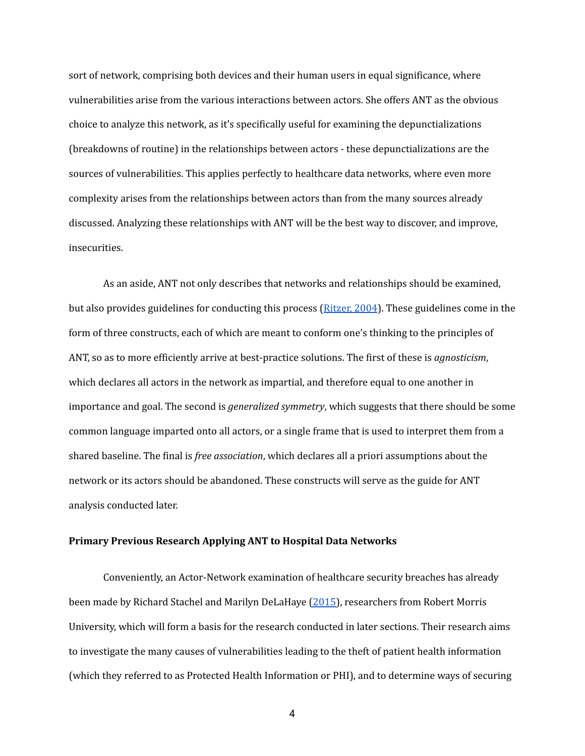sort of network, comprising both devices and their human users in equal significance, where vulnerabilities arise from the various interactions between actors. She offers ANT as the obvious choice to analyze this network, as it's specifically useful for examining the depunctializations (breakdowns of routine) in the relationships between actors - these depunctializations are the sources of vulnerabilities. This applies perfectly to healthcare data networks, where even more complexity arises from the relationships between actors than from the many sources already discussed. Analyzing these relationships with ANT will be the best way to discover, and improve, insecurities.

As an aside, ANT not only describes that networks and relationships should be examined, but also provides guidelines for conducting this process ([Ritzer,](https://www.google.com/books/edition/Encyclopedia_of_Social_Theory/mTZ1AwAAQBAJ?hl=en&gbpv=1&printsec=frontcover) 2004). These guidelines come in the form of three constructs, each of which are meant to conform one's thinking to the principles of ANT, so as to more efficiently arrive at best-practice solutions. The first of these is *agnosticism*, which declares all actors in the network as impartial, and therefore equal to one another in importance and goal. The second is *generalized symmetry*, which suggests that there should be some common language imparted onto all actors, or a single frame that is used to interpret them from a shared baseline. The final is *free association*, which declares all a priori assumptions about the network or its actors should be abandoned. These constructs will serve as the guide for ANT analysis conducted later.

#### **Primary Previous Research Applying ANT to Hospital Data Networks**

Conveniently, an Actor-Network examination of healthcare security breaches has already been made by Richard Stachel and Marilyn DeLaHaye [\(2015\)](https://pdfs.semanticscholar.org/41f8/91e32be7b3b4e4f4002139554581518daaa3.pdf), researchers from Robert Morris University, which will form a basis for the research conducted in later sections. Their research aims to investigate the many causes of vulnerabilities leading to the theft of patient health information (which they referred to as Protected Health Information or PHI), and to determine ways of securing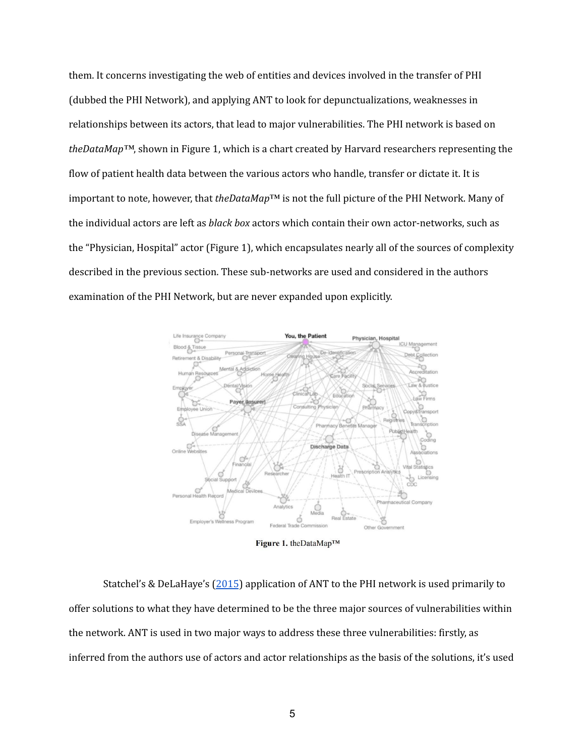them. It concerns investigating the web of entities and devices involved in the transfer of PHI (dubbed the PHI Network), and applying ANT to look for depunctualizations, weaknesses in relationships between its actors, that lead to major vulnerabilities. The PHI network is based on *theDataMap™*, shown in Figure 1, which is a chart created by Harvard researchers representing the flow of patient health data between the various actors who handle, transfer or dictate it. It is important to note, however, that *theDataMap*™ is not the full picture of the PHI Network. Many of the individual actors are left as *black box* actors which contain their own actor-networks, such as the "Physician, Hospital" actor (Figure 1), which encapsulates nearly all of the sources of complexity described in the previous section. These sub-networks are used and considered in the authors examination of the PHI Network, but are never expanded upon explicitly.



Figure 1. theDataMapTM

Statchel's & DeLaHaye's [\(2015](https://pdfs.semanticscholar.org/41f8/91e32be7b3b4e4f4002139554581518daaa3.pdf)) application of ANT to the PHI network is used primarily to offer solutions to what they have determined to be the three major sources of vulnerabilities within the network. ANT is used in two major ways to address these three vulnerabilities: firstly, as inferred from the authors use of actors and actor relationships as the basis of the solutions, it's used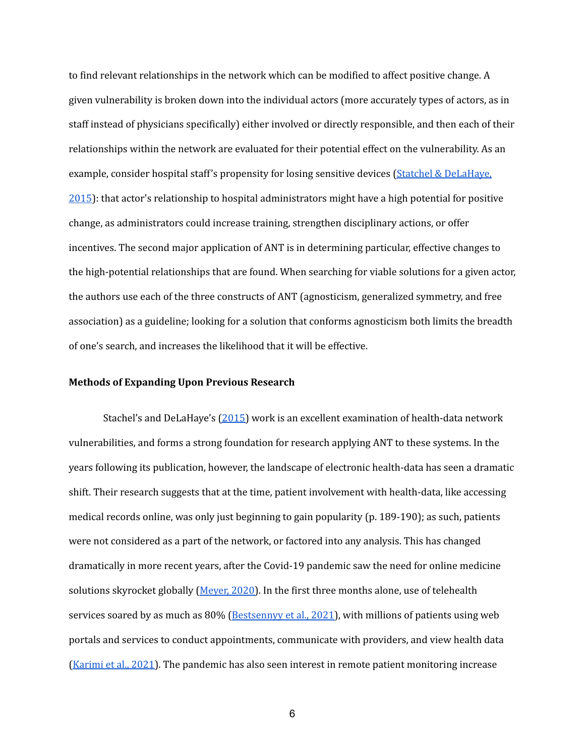to find relevant relationships in the network which can be modified to affect positive change. A given vulnerability is broken down into the individual actors (more accurately types of actors, as in staff instead of physicians specifically) either involved or directly responsible, and then each of their relationships within the network are evaluated for their potential effect on the vulnerability. As an example, consider hospital staff's propensity for losing sensitive devices (Statchel & [DeLaHaye,](https://pdfs.semanticscholar.org/41f8/91e32be7b3b4e4f4002139554581518daaa3.pdf) [2015](https://pdfs.semanticscholar.org/41f8/91e32be7b3b4e4f4002139554581518daaa3.pdf)): that actor's relationship to hospital administrators might have a high potential for positive change, as administrators could increase training, strengthen disciplinary actions, or offer incentives. The second major application of ANT is in determining particular, effective changes to the high-potential relationships that are found. When searching for viable solutions for a given actor, the authors use each of the three constructs of ANT (agnosticism, generalized symmetry, and free association) as a guideline; looking for a solution that conforms agnosticism both limits the breadth of one's search, and increases the likelihood that it will be effective.

#### **Methods of Expanding Upon Previous Research**

Stachel's and DeLaHaye's [\(2015\)](https://pdfs.semanticscholar.org/41f8/91e32be7b3b4e4f4002139554581518daaa3.pdf) work is an excellent examination of health-data network vulnerabilities, and forms a strong foundation for research applying ANT to these systems. In the years following its publication, however, the landscape of electronic health-data has seen a dramatic shift. Their research suggests that at the time, patient involvement with health-data, like accessing medical records online, was only just beginning to gain popularity (p. 189-190); as such, patients were not considered as a part of the network, or factored into any analysis. This has changed dramatically in more recent years, after the Covid-19 pandemic saw the need for online medicine solutions skyrocket globally [\(Meyer,](https://journals.sagepub.com/doi/pdf/10.1177/2374373520959486) 2020). In the first three months alone, use of telehealth services soared by as much as 80% ([Bestsennyy](https://www.mckinsey.com/industries/healthcare-systems-and-services/our-insights/telehealth-a-quarter-trillion-dollar-post-covid-19-reality) et al., 2021), with millions of patients using web portals and services to conduct appointments, communicate with providers, and view health data [\(Karimi](https://aspe.hhs.gov/sites/default/files/documents/4e1853c0b4885112b2994680a58af9ed/telehealth-hps-ib.pdf) et al., 2021). The pandemic has also seen interest in remote patient monitoring increase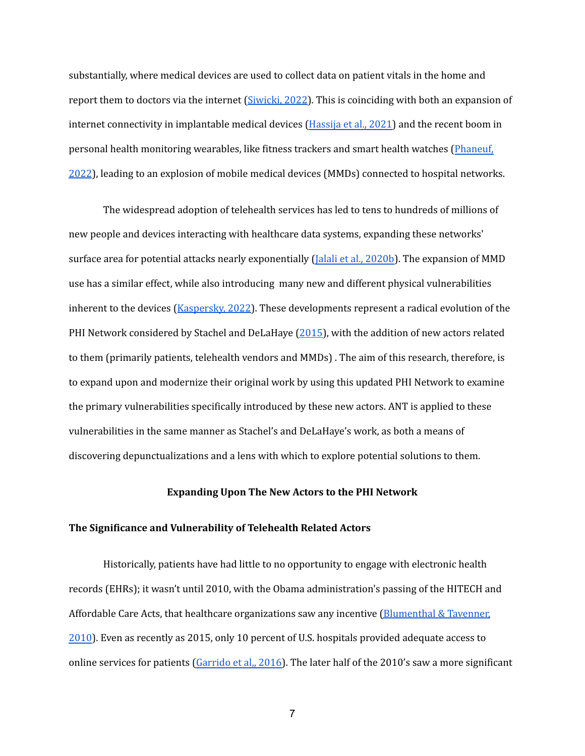substantially, where medical devices are used to collect data on patient vitals in the home and report them to doctors via the internet [\(Siwicki,](https://www.healthcareitnews.com/news/how-remote-patient-monitoring-moving-mainstream) 2022). This is coinciding with both an expansion of internet connectivity in implantable medical devices [\(Hassija](https://www.sciencedirect.com/science/article/pii/S2210670720307708?casa_token=PJ-wG1EA9vgAAAAA:jpfQkrsQsOUAzD73nsIgnwki7VORRPF_jFo19hhpJ0AYxrNb2tqcC86gVb9MBHG8F1OkzrcBMWE#bib0460) et al., 2021) and the recent boom in personal health monitoring wearables, like fitness trackers and smart health watches ([Phaneuf,](https://www.insiderintelligence.com/insights/wearable-technology-healthcare-medical-devices/) [2022](https://www.insiderintelligence.com/insights/wearable-technology-healthcare-medical-devices/)), leading to an explosion of mobile medical devices (MMDs) connected to hospital networks.

The widespread adoption of telehealth services has led to tens to hundreds of millions of new people and devices interacting with healthcare data systems, expanding these networks' surface area for potential attacks nearly exponentially (Jalali et al., [2020b\)](https://academic.oup.com/jamia/article/28/3/671/6039104?login=false). The expansion of MMD use has a similar effect, while also introducing many new and different physical vulnerabilities inherent to the devices ([Kaspersky,](https://usa.kaspersky.com/about/press-releases/2022_33-vulnerabilities-found-in-the-data-transfer-protocol-for-wearable-medical-devices) 2022). These developments represent a radical evolution of the PHI Network considered by Stachel and DeLaHaye [\(2015\)](https://pdfs.semanticscholar.org/41f8/91e32be7b3b4e4f4002139554581518daaa3.pdf), with the addition of new actors related to them (primarily patients, telehealth vendors and MMDs) . The aim of this research, therefore, is to expand upon and modernize their original work by using this updated PHI Network to examine the primary vulnerabilities specifically introduced by these new actors. ANT is applied to these vulnerabilities in the same manner as Stachel's and DeLaHaye's work, as both a means of discovering depunctualizations and a lens with which to explore potential solutions to them.

#### **Expanding Upon The New Actors to the PHI Network**

#### **The Significance and Vulnerability of Telehealth Related Actors**

Historically, patients have had little to no opportunity to engage with electronic health records (EHRs); it wasn't until 2010, with the Obama administration's passing of the HITECH and Affordable Care Acts, that healthcare organizations saw any incentive [\(Blumenthal](https://www.nejm.org/doi/full/10.1056/NEJMp1006114) & Tavenner, [2010](https://www.nejm.org/doi/full/10.1056/NEJMp1006114)). Even as recently as 2015, only 10 percent of U.S. hospitals provided adequate access to online services for patients [\(Garrido](https://www.healthaffairs.org/do/10.1377/forefront.20160407.054362) et al,, 2016). The later half of the 2010's saw a more significant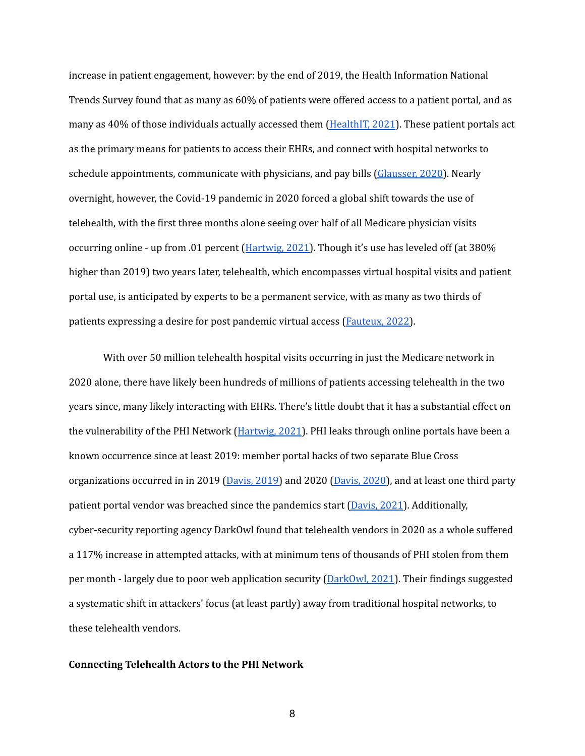increase in patient engagement, however: by the end of 2019, the Health Information National Trends Survey found that as many as 60% of patients were offered access to a patient portal, and as many as 40% of those individuals actually accessed them [\(HealthIT,](https://www.healthit.gov/data/data-briefs/individuals-access-and-use-patient-portals-and-smartphone-health-apps-2020#:~:text=About%20six%20in%2010%20individuals,smartphone%20health%20app%20in%202020) 2021). These patient portals act as the primary means for patients to access their EHRs, and connect with hospital networks to schedule appointments, communicate with physicians, and pay bills [\(Glausser,](https://www.advancedmd.com/blog/patient-portal-evolution-today/) 2020). Nearly overnight, however, the Covid-19 pandemic in 2020 forced a global shift towards the use of telehealth, with the first three months alone seeing over half of all Medicare physician visits occurring online - up from .01 percent ([Hartwig,](https://www.healthworkscollective.com/telemedicine-vulnerabilities-are-a-dream-come-true-for-hackers/) 2021). Though it's use has leveled off (at 380% higher than 2019) two years later, telehealth, which encompasses virtual hospital visits and patient portal use, is anticipated by experts to be a permanent service, with as many as two thirds of patients expressing a desire for post pandemic virtual access [\(Fauteux,](https://journals.lww.com/ajnonline/Fulltext/2022/03000/The_Growth_of_Telehealth.15.aspx?casa_token=yxF43Ls84ZoAAAAA:FOaK6oGuNEeqbjx7D_h03BE_p0dQGLn-Jw311i_Xz5miwmkTb6sij9l7IncBc6xHsBcB0_PO1vzWL2j9zG7sJjdf) 2022).

With over 50 million telehealth hospital visits occurring in just the Medicare network in 2020 alone, there have likely been hundreds of millions of patients accessing telehealth in the two years since, many likely interacting with EHRs. There's little doubt that it has a substantial effect on the vulnerability of the PHI Network ([Hartwig,](https://www.healthworkscollective.com/telemedicine-vulnerabilities-are-a-dream-come-true-for-hackers/) 2021). PHI leaks through online portals have been a known occurrence since at least 2019: member portal hacks of two separate Blue Cross organizations occurred in in 2019 [\(Davis,](https://healthitsecurity.com/news/magellan-health-data-breach-victim-tally-reaches-365k-patients) 2019) and 2020 (Davis, 2020), and at least one third party patient portal vendor was breached since the pandemics start [\(Davis,](https://www.scmagazine.com/analysis/breach/cyberattack-on-health-tech-vendor-qrs-leads-to-data-theft-tied-to-320k-patients) 2021). Additionally, cyber-security reporting agency DarkOwl found that telehealth vendors in 2020 as a whole suffered a 117% increase in attempted attacks, with at minimum tens of thousands of PHI stolen from them per month - largely due to poor web application security  $(DarkOwl, 2021)$  $(DarkOwl, 2021)$ . Their findings suggested a systematic shift in attackers' focus (at least partly) away from traditional hospital networks, to these telehealth vendors.

#### **Connecting Telehealth Actors to the PHI Network**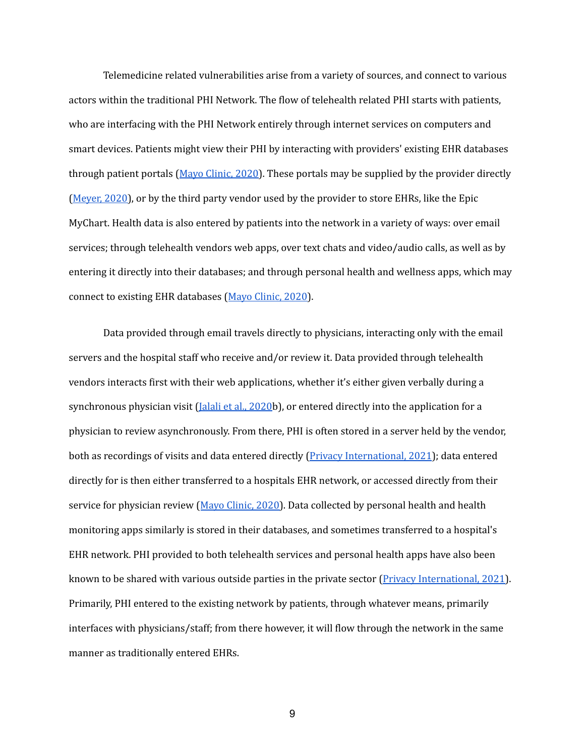Telemedicine related vulnerabilities arise from a variety of sources, and connect to various actors within the traditional PHI Network. The flow of telehealth related PHI starts with patients, who are interfacing with the PHI Network entirely through internet services on computers and smart devices. Patients might view their PHI by interacting with providers' existing EHR databases through patient portals (Mayo [Clinic,](https://www.mayoclinic.org/healthy-lifestyle/consumer-health/in-depth/telehealth/art-20044878) 2020). These portals may be supplied by the provider directly [\(Meyer,](https://journals.sagepub.com/doi/pdf/10.1177/2374373520959486) 2020), or by the third party vendor used by the provider to store EHRs, like the Epic MyChart. Health data is also entered by patients into the network in a variety of ways: over email services; through telehealth vendors web apps, over text chats and video/audio calls, as well as by entering it directly into their databases; and through personal health and wellness apps, which may connect to existing EHR databases (Mayo [Clinic,](https://www.mayoclinic.org/healthy-lifestyle/consumer-health/in-depth/telehealth/art-20044878) 2020).

Data provided through email travels directly to physicians, interacting only with the email servers and the hospital staff who receive and/or review it. Data provided through telehealth vendors interacts first with their web applications, whether it's either given verbally during a synchronous physician visit (*Jalali et al., [2020](https://academic.oup.com/jamia/article/28/3/671/6039104?login=false)b*), or entered directly into the application for a physician to review asynchronously. From there, PHI is often stored in a server held by the vendor, both as recordings of visits and data entered directly (*Privacy [International,](https://privacyinternational.org/long-read/4655/telemedicine-and-data-exploitation) 2021*); data entered directly for is then either transferred to a hospitals EHR network, or accessed directly from their service for physician review (Mayo [Clinic,](https://www.mayoclinic.org/healthy-lifestyle/consumer-health/in-depth/telehealth/art-20044878) 2020). Data collected by personal health and health monitoring apps similarly is stored in their databases, and sometimes transferred to a hospital's EHR network. PHI provided to both telehealth services and personal health apps have also been known to be shared with various outside parties in the private sector (Privacy [International,](https://privacyinternational.org/long-read/4655/telemedicine-and-data-exploitation) 2021). Primarily, PHI entered to the existing network by patients, through whatever means, primarily interfaces with physicians/staff; from there however, it will flow through the network in the same manner as traditionally entered EHRs.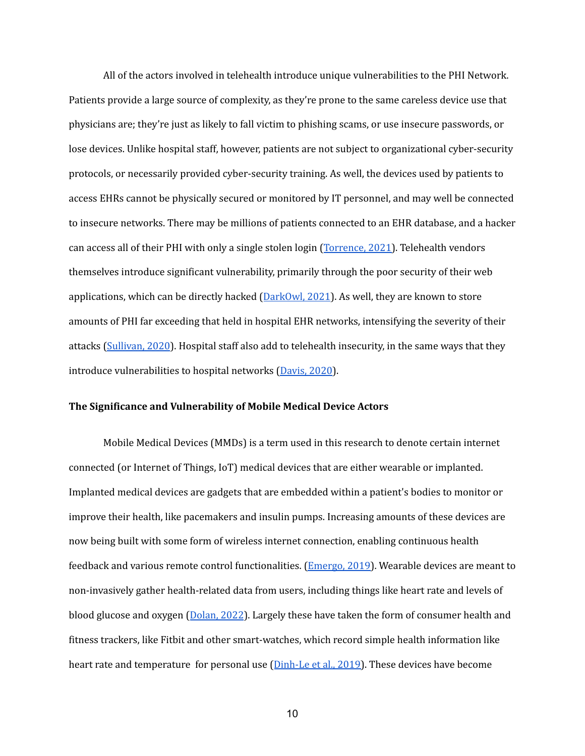All of the actors involved in telehealth introduce unique vulnerabilities to the PHI Network. Patients provide a large source of complexity, as they're prone to the same careless device use that physicians are; they're just as likely to fall victim to phishing scams, or use insecure passwords, or lose devices. Unlike hospital staff, however, patients are not subject to organizational cyber-security protocols, or necessarily provided cyber-security training. As well, the devices used by patients to access EHRs cannot be physically secured or monitored by IT personnel, and may well be connected to insecure networks. There may be millions of patients connected to an EHR database, and a hacker can access all of their PHI with only a single stolen login ([Torrence,](https://www.fiercehealthcare.com/tech/report-shows-patient-data-vulnerable-to-hacks-third-party-aggregators) 2021). Telehealth vendors themselves introduce significant vulnerability, primarily through the poor security of their web applications, which can be directly hacked ( $DarkOwl, 2021$  $DarkOwl, 2021$ ). As well, they are known to store amounts of PHI far exceeding that held in hospital EHR networks, intensifying the severity of their attacks [\(Sullivan,](https://www.healthcarefinancenews.com/news/telehealth-driving-boom-digital-communications) 2020). Hospital staff also add to telehealth insecurity, in the same ways that they introduce vulnerabilities to hospital networks [\(Davis,](https://healthitsecurity.com/news/best-practice-cybersecurity-methods-for-remote-care-patient-portals) 2020).

#### **The Significance and Vulnerability of Mobile Medical Device Actors**

Mobile Medical Devices (MMDs) is a term used in this research to denote certain internet connected (or Internet of Things, IoT) medical devices that are either wearable or implanted. Implanted medical devices are gadgets that are embedded within a patient's bodies to monitor or improve their health, like pacemakers and insulin pumps. Increasing amounts of these devices are now being built with some form of wireless internet connection, enabling continuous health feedback and various remote control functionalities. [\(Emergo,](https://www.emergobyul.com/blog/2019/07/internet-bodies-whats-getting-you) 2019). Wearable devices are meant to non-invasively gather health-related data from users, including things like heart rate and levels of blood glucose and oxygen ([Dolan,](https://www.insiderintelligence.com/insights/remote-patient-monitoring-industry-explained/) 2022). Largely these have taken the form of consumer health and fitness trackers, like Fitbit and other smart-watches, which record simple health information like heart rate and temperature for personal use ([Dinh-Le](https://www.ncbi.nlm.nih.gov/pmc/articles/PMC6746089/) et al., 2019). These devices have become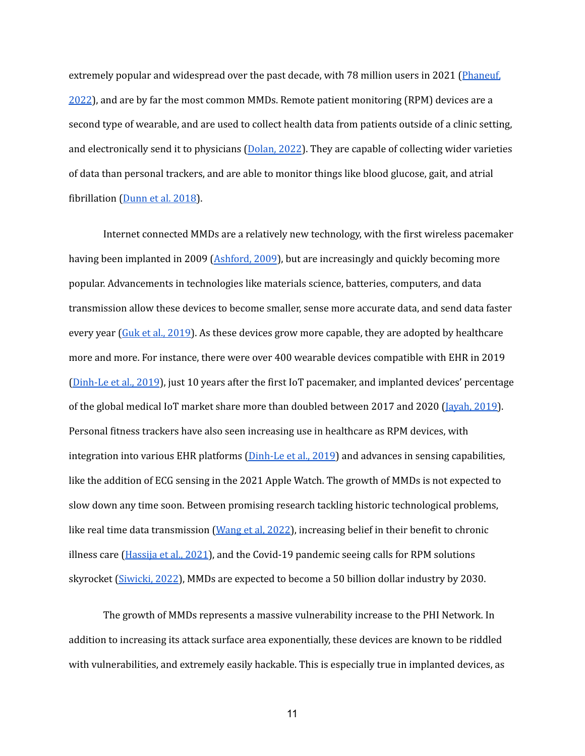extremely popular and widespread over the past decade, with 78 million users in 2021 ([Phaneuf,](https://www.insiderintelligence.com/insights/wearable-technology-healthcare-medical-devices/) [2022](https://www.insiderintelligence.com/insights/wearable-technology-healthcare-medical-devices/)), and are by far the most common MMDs. Remote patient monitoring (RPM) devices are a second type of wearable, and are used to collect health data from patients outside of a clinic setting, and electronically send it to physicians [\(Dolan,](https://www.insiderintelligence.com/insights/remote-patient-monitoring-industry-explained/) 2022). They are capable of collecting wider varieties of data than personal trackers, and are able to monitor things like blood glucose, gait, and atrial fibrillation ([Dunn](https://www.futuremedicine.com/doi/full/10.2217/pme-2018-0044) et al. 2018).

Internet connected MMDs are a relatively new technology, with the first wireless pacemaker having been implanted in 2009 ([Ashford,](https://www.popsci.com/scitech/article/2009-08/first-patient-implanted-pacemaker-communicates-wirelessly-her-doctor/#:~:text=Wireless%20Pacemaker-,The%20first%20American%20to%20be%20implanted%20with%20a%20wireless%20pacemaker,by%20the%20FDA%20in%20July.) 2009), but are increasingly and quickly becoming more popular. Advancements in technologies like materials science, batteries, computers, and data transmission allow these devices to become smaller, sense more accurate data, and send data faster every year (Guk et al., [2019\)](https://www.ncbi.nlm.nih.gov/pmc/articles/PMC6631918/#B2-nanomaterials-09-00813). As these devices grow more capable, they are adopted by healthcare more and more. For instance, there were over 400 wearable devices compatible with EHR in 2019 [\(Dinh-Le](https://www.ncbi.nlm.nih.gov/pmc/articles/PMC6746089/) et al., 2019), just 10 years after the first IoT pacemaker, and implanted devices' percentage of the global medical IoT market share more than doubled between 2017 and 2020 [\(Jayah,](https://asia.ub-speeda.com/en/body-talks-future-connected-implanted-medical-devices-industry/#:~:text=The%20global%20connected%20implanted%20medical,main%20drivers%20of%20industry%20growth.) 2019). Personal fitness trackers have also seen increasing use in healthcare as RPM devices, with integration into various EHR platforms  $(Dinh-Le et al., 2019)$  $(Dinh-Le et al., 2019)$  and advances in sensing capabilities, like the addition of ECG sensing in the 2021 Apple Watch. The growth of MMDs is not expected to slow down any time soon. Between promising research tackling historic technological problems, like real time data transmission [\(Wang](http://www.mli.gmu.edu/papers/2022/p22-3.pdf) et al, 2022), increasing belief in their benefit to chronic illness care ( $H$ assija et al., 2021), and the Covid-19 pandemic seeing calls for RPM solutions skyrocket [\(Siwicki,](https://www.healthcareitnews.com/news/how-remote-patient-monitoring-moving-mainstream) 2022), MMDs are expected to become a 50 billion dollar industry by 2030.

The growth of MMDs represents a massive vulnerability increase to the PHI Network. In addition to increasing its attack surface area exponentially, these devices are known to be riddled with vulnerabilities, and extremely easily hackable. This is especially true in implanted devices, as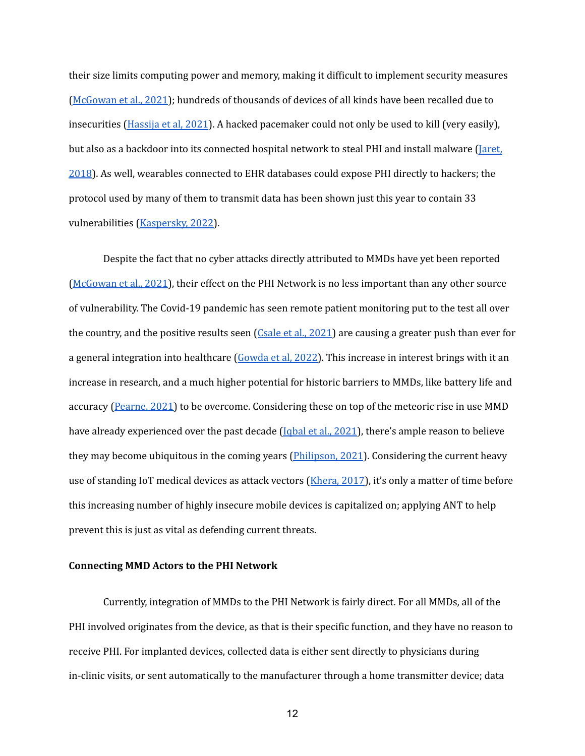their size limits computing power and memory, making it difficult to implement security measures [\(McGowan](https://scholarspace.manoa.hawaii.edu/bitstream/10125/71082/0379.pdf) et al., 2021); hundreds of thousands of devices of all kinds have been recalled due to insecurities [\(Hassija](https://www.sciencedirect.com/science/article/pii/S2210670720307708?casa_token=PJ-wG1EA9vgAAAAA:jpfQkrsQsOUAzD73nsIgnwki7VORRPF_jFo19hhpJ0AYxrNb2tqcC86gVb9MBHG8F1OkzrcBMWE#bib0270) et al, 2021). A hacked pacemaker could not only be used to kill (very easily), but also as a backdoor into its connected hospital network to steal PHI and install malware [\(Jaret,](https://www.aamc.org/news-insights/exposing-vulnerabilities-how-hackers-could-target-your-medical-devices) [2018](https://www.aamc.org/news-insights/exposing-vulnerabilities-how-hackers-could-target-your-medical-devices)). As well, wearables connected to EHR databases could expose PHI directly to hackers; the protocol used by many of them to transmit data has been shown just this year to contain 33 vulnerabilities [\(Kaspersky,](https://usa.kaspersky.com/about/press-releases/2022_33-vulnerabilities-found-in-the-data-transfer-protocol-for-wearable-medical-devices) 2022).

Despite the fact that no cyber attacks directly attributed to MMDs have yet been reported [\(McGowan](https://scholarspace.manoa.hawaii.edu/bitstream/10125/71082/0379.pdf) et al., 2021), their effect on the PHI Network is no less important than any other source of vulnerability. The Covid-19 pandemic has seen remote patient monitoring put to the test all over the country, and the positive results seen  $(C_{\text{Sale et al.}, 2021})$  are causing a greater push than ever for a general integration into healthcare ([Gowda](https://jamanetwork.com/journals/jama-health-forum/fullarticle/2788095) et al, 2022). This increase in interest brings with it an increase in research, and a much higher potential for historic barriers to MMDs, like battery life and accuracy ([Pearne,](https://www.med-technews.com/medtech-insights/latest-medtech-insights/reducing-noise-to-improve-accuracy-of-medical-devices/) 2021) to be overcome. Considering these on top of the meteoric rise in use MMD have already experienced over the past decade [\(Iqbal](https://www.nature.com/articles/s41528-021-00107-x) et al., 2021), there's ample reason to believe they may become ubiquitous in the coming years (*Philipson, 2021*). Considering the current heavy use of standing IoT medical devices as attack vectors ([Khera,](https://journals.sagepub.com/doi/full/10.1177/1932296816677576) 2017), it's only a matter of time before this increasing number of highly insecure mobile devices is capitalized on; applying ANT to help prevent this is just as vital as defending current threats.

#### **Connecting MMD Actors to the PHI Network**

Currently, integration of MMDs to the PHI Network is fairly direct. For all MMDs, all of the PHI involved originates from the device, as that is their specific function, and they have no reason to receive PHI. For implanted devices, collected data is either sent directly to physicians during in-clinic visits, or sent automatically to the manufacturer through a home transmitter device; data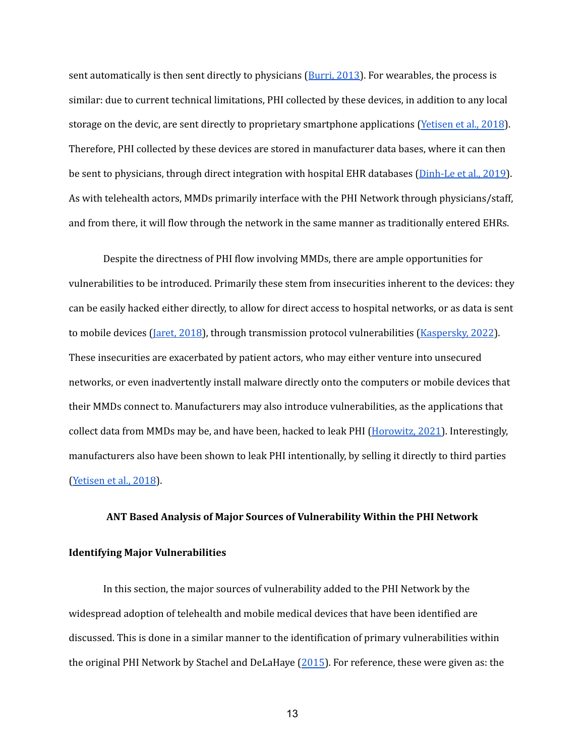sent automatically is then sent directly to physicians ([Burri,](https://academic.oup.com/europace/article/15/suppl_1/i14/526508?login=true) 2013). For wearables, the process is similar: due to current technical limitations, PHI collected by these devices, in addition to any local storage on the devic, are sent directly to proprietary smartphone applications ([Yetisen](http://europepmc.org/article/MED/29893068) et al., 2018). Therefore, PHI collected by these devices are stored in manufacturer data bases, where it can then be sent to physicians, through direct integration with hospital EHR databases ([Dinh-Le](https://www.ncbi.nlm.nih.gov/pmc/articles/PMC6746089/) et al., 2019). As with telehealth actors, MMDs primarily interface with the PHI Network through physicians/staff, and from there, it will flow through the network in the same manner as traditionally entered EHRs.

Despite the directness of PHI flow involving MMDs, there are ample opportunities for vulnerabilities to be introduced. Primarily these stem from insecurities inherent to the devices: they can be easily hacked either directly, to allow for direct access to hospital networks, or as data is sent to mobile devices [\(Jaret,](https://www.aamc.org/news-insights/exposing-vulnerabilities-how-hackers-could-target-your-medical-devices) 2018), through transmission protocol vulnerabilities [\(Kaspersky,](https://usa.kaspersky.com/about/press-releases/2022_33-vulnerabilities-found-in-the-data-transfer-protocol-for-wearable-medical-devices) 2022). These insecurities are exacerbated by patient actors, who may either venture into unsecured networks, or even inadvertently install malware directly onto the computers or mobile devices that their MMDs connect to. Manufacturers may also introduce vulnerabilities, as the applications that collect data from MMDs may be, and have been, hacked to leak PHI [\(Horowitz,](https://www.fiercehealthcare.com/tech/mobile-health-apps-leak-sensitive-data-through-apis-report-finds) 2021). Interestingly, manufacturers also have been shown to leak PHI intentionally, by selling it directly to third parties [\(Yetisen](http://europepmc.org/article/MED/29893068) et al., 2018).

#### **ANT Based Analysis of Major Sources of Vulnerability Within the PHI Network**

## **Identifying Major Vulnerabilities**

In this section, the major sources of vulnerability added to the PHI Network by the widespread adoption of telehealth and mobile medical devices that have been identified are discussed. This is done in a similar manner to the identification of primary vulnerabilities within the original PHI Network by Stachel and DeLaHaye ([2015\)](https://pdfs.semanticscholar.org/41f8/91e32be7b3b4e4f4002139554581518daaa3.pdf). For reference, these were given as: the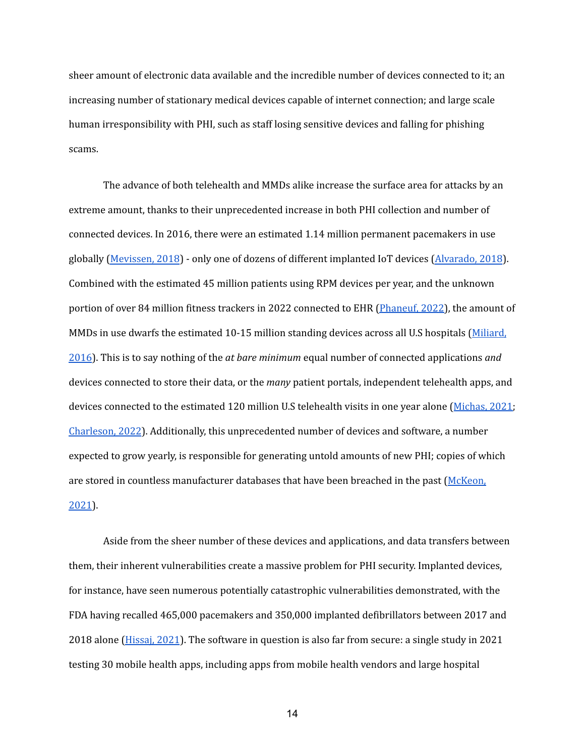sheer amount of electronic data available and the incredible number of devices connected to it; an increasing number of stationary medical devices capable of internet connection; and large scale human irresponsibility with PHI, such as staff losing sensitive devices and falling for phishing scams.

The advance of both telehealth and MMDs alike increase the surface area for attacks by an extreme amount, thanks to their unprecedented increase in both PHI collection and number of connected devices. In 2016, there were an estimated 1.14 million permanent pacemakers in use globally [\(Mevissen,](https://www.ametek-coining.com/knowledge/blog/2018/may/implantable-medical-devices-are-becoming-increasingly-capable) 2018) - only one of dozens of different implanted IoT devices [\(Alvarado,](https://www.synopsys.com/blogs/software-security/network-connected-medical-devices/) 2018). Combined with the estimated 45 million patients using RPM devices per year, and the unknown portion of over 84 million fitness trackers in 2022 connected to EHR [\(Phaneuf,](https://www.insiderintelligence.com/insights/wearable-technology-healthcare-medical-devices/) 2022), the amount of MMDs in use dwarfs the estimated 10-15 million standing devices across all U.S hospitals [\(Miliard,](https://www.healthcareitnews.com/news/cybersecurity-pro-networked-medical-devices-pose-huge-risks-patient-safety#:~:text=Consider%20these%20numbers%3A%20There%20are,have%201%2C500%20infusion%20pumps%20alone.) [2016](https://www.healthcareitnews.com/news/cybersecurity-pro-networked-medical-devices-pose-huge-risks-patient-safety#:~:text=Consider%20these%20numbers%3A%20There%20are,have%201%2C500%20infusion%20pumps%20alone.)). This is to say nothing of the *at bare minimum* equal number of connected applications *and* devices connected to store their data, or the *many* patient portals, independent telehealth apps, and devices connected to the estimated 120 million U.S telehealth visits in one year alone ([Michas,](https://www.statista.com/statistics/459744/total-outpatient-visit-numbers-in-the-us/#:~:text=Total%20hospital%20outpatient%20visits%20in%20the%20United%20States%201965%2D2019&text=This%20statistic%20displays%20the%20total,hospitals%20located%20in%20the%20country.) 2021; [Charleson,](https://www.singlecare.com/blog/news/telehealth-statistics/) 2022). Additionally, this unprecedented number of devices and software, a number expected to grow yearly, is responsible for generating untold amounts of new PHI; copies of which are stored in countless manufacturer databases that have been breached in the past ([McKeon,](https://healthitsecurity.com/news/61m-fitbit-apple-users-had-data-exposed-in-wearable-device-data-breach#:~:text=September%2016%2C%202021%20%2D%20Over%2061,independent%20cybersecurity%20researcher%20Jeremiah%20Fowler.) [2021](https://healthitsecurity.com/news/61m-fitbit-apple-users-had-data-exposed-in-wearable-device-data-breach#:~:text=September%2016%2C%202021%20%2D%20Over%2061,independent%20cybersecurity%20researcher%20Jeremiah%20Fowler.)).

Aside from the sheer number of these devices and applications, and data transfers between them, their inherent vulnerabilities create a massive problem for PHI security. Implanted devices, for instance, have seen numerous potentially catastrophic vulnerabilities demonstrated, with the FDA having recalled 465,000 pacemakers and 350,000 implanted defibrillators between 2017 and 2018 alone [\(Hissaj,](https://www.sciencedirect.com/science/article/pii/S2210670720307708?casa_token=PJ-wG1EA9vgAAAAA:jpfQkrsQsOUAzD73nsIgnwki7VORRPF_jFo19hhpJ0AYxrNb2tqcC86gVb9MBHG8F1OkzrcBMWE#bib0270) 2021). The software in question is also far from secure: a single study in 2021 testing 30 mobile health apps, including apps from mobile health vendors and large hospital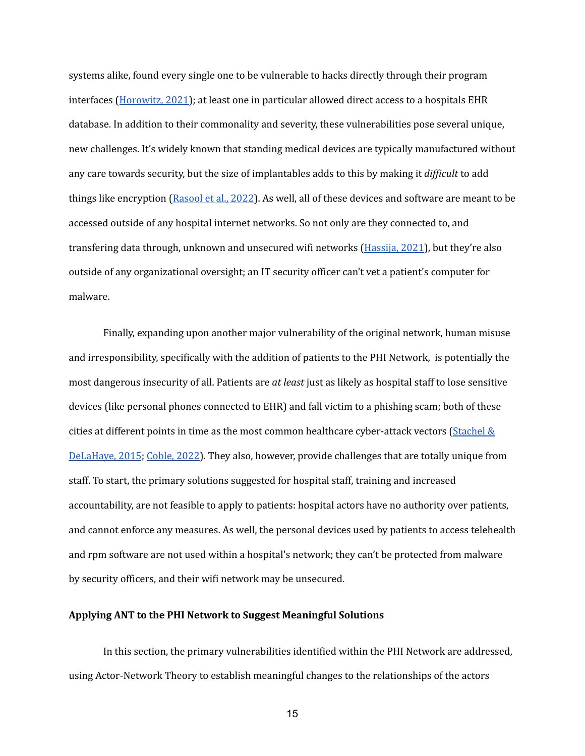systems alike, found every single one to be vulnerable to hacks directly through their program interfaces ([Horowitz,](https://www.sciencedirect.com/science/article/pii/S2210670720307708?casa_token=PJ-wG1EA9vgAAAAA:jpfQkrsQsOUAzD73nsIgnwki7VORRPF_jFo19hhpJ0AYxrNb2tqcC86gVb9MBHG8F1OkzrcBMWE#bib0270) 2021); at least one in particular allowed direct access to a hospitals EHR database. In addition to their commonality and severity, these vulnerabilities pose several unique, new challenges. It's widely known that standing medical devices are typically manufactured without any care towards security, but the size of implantables adds to this by making it *dif icult* to add things like encryption ([Rasool](https://www.sciencedirect.com/science/article/abs/pii/S1084804522000017) et al., 2022). As well, all of these devices and software are meant to be accessed outside of any hospital internet networks. So not only are they connected to, and transfering data through, unknown and unsecured wifi networks [\(Hassija,](https://www.sciencedirect.com/science/article/pii/S2210670720307708?casa_token=PJ-wG1EA9vgAAAAA:jpfQkrsQsOUAzD73nsIgnwki7VORRPF_jFo19hhpJ0AYxrNb2tqcC86gVb9MBHG8F1OkzrcBMWE#bib0270) 2021), but they're also outside of any organizational oversight; an IT security officer can't vet a patient's computer for malware.

Finally, expanding upon another major vulnerability of the original network, human misuse and irresponsibility, specifically with the addition of patients to the PHI Network, is potentially the most dangerous insecurity of all. Patients are *at least* just as likely as hospital staff to lose sensitive devices (like personal phones connected to EHR) and fall victim to a phishing scam; both of these cities at different points in time as the most common healthcare cyber-attack vectors [\(Stachel](https://pdfs.semanticscholar.org/41f8/91e32be7b3b4e4f4002139554581518daaa3.pdf)  $\&$ [DeLaHaye,](https://pdfs.semanticscholar.org/41f8/91e32be7b3b4e4f4002139554581518daaa3.pdf) 2015; [Coble,](https://www.infosecurity-magazine.com/news/phishing-top-threat-to-us/#:~:text=However%2C%20the%20most%20common%20route,that%20is%20no%20longer%20supported.) 2022). They also, however, provide challenges that are totally unique from staff. To start, the primary solutions suggested for hospital staff, training and increased accountability, are not feasible to apply to patients: hospital actors have no authority over patients, and cannot enforce any measures. As well, the personal devices used by patients to access telehealth and rpm software are not used within a hospital's network; they can't be protected from malware by security officers, and their wifi network may be unsecured.

#### **Applying ANT to the PHI Network to Suggest Meaningful Solutions**

In this section, the primary vulnerabilities identified within the PHI Network are addressed, using Actor-Network Theory to establish meaningful changes to the relationships of the actors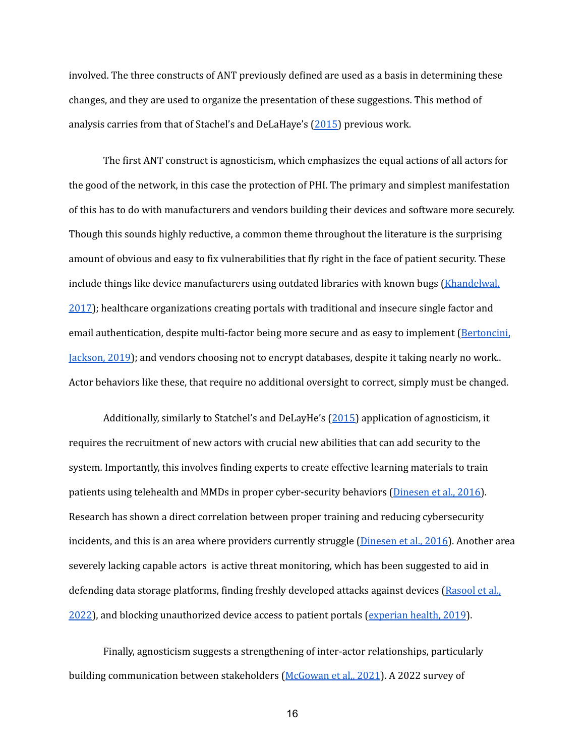involved. The three constructs of ANT previously defined are used as a basis in determining these changes, and they are used to organize the presentation of these suggestions. This method of analysis carries from that of Stachel's and DeLaHaye's [\(2015\)](https://pdfs.semanticscholar.org/41f8/91e32be7b3b4e4f4002139554581518daaa3.pdf) previous work.

The first ANT construct is agnosticism, which emphasizes the equal actions of all actors for the good of the network, in this case the protection of PHI. The primary and simplest manifestation of this has to do with manufacturers and vendors building their devices and software more securely. Though this sounds highly reductive, a common theme throughout the literature is the surprising amount of obvious and easy to fix vulnerabilities that fly right in the face of patient security. These include things like device manufacturers using outdated libraries with known bugs [\(Khandelwal,](https://thehackernews.com/2017/06/pacemaker-vulnerability.html) [2017](https://thehackernews.com/2017/06/pacemaker-vulnerability.html)); healthcare organizations creating portals with traditional and insecure single factor and email authentication, despite multi-factor being more secure and as easy to implement ([Bertoncini,](https://www.natlawreview.com/article/your-patient-portal-secure-study-shows-healthcare-organizations-traditional) [Jackson,](https://www.natlawreview.com/article/your-patient-portal-secure-study-shows-healthcare-organizations-traditional) 2019); and vendors choosing not to encrypt databases, despite it taking nearly no work.. Actor behaviors like these, that require no additional oversight to correct, simply must be changed.

Additionally, similarly to Statchel's and DeLayHe's ([2015\)](https://pdfs.semanticscholar.org/41f8/91e32be7b3b4e4f4002139554581518daaa3.pdf) application of agnosticism, it requires the recruitment of new actors with crucial new abilities that can add security to the system. Importantly, this involves finding experts to create effective learning materials to train patients using telehealth and MMDs in proper cyber-security behaviors ([Dinesen](https://www.ncbi.nlm.nih.gov/pmc/articles/PMC4795318/) et al., 2016). Research has shown a direct correlation between proper training and reducing cybersecurity incidents, and this is an area where providers currently struggle [\(Dinesen](https://www.ncbi.nlm.nih.gov/pmc/articles/PMC4795318/) et al., 2016). Another area severely lacking capable actors is active threat monitoring, which has been suggested to aid in defending data storage platforms, finding freshly developed attacks against devices [\(Rasool](https://www.sciencedirect.com/science/article/abs/pii/S1084804522000017) et al., [2022](https://www.sciencedirect.com/science/article/abs/pii/S1084804522000017)), and blocking unauthorized device access to patient portals ([experian](https://www.experian.com/content/dam/marketing/na/healthcare/brochures/how-patient-portals-get-hacked.pdf) health, 2019).

Finally, agnosticism suggests a strengthening of inter-actor relationships, particularly building communication between stakeholders ([McGowan](https://scholarspace.manoa.hawaii.edu/bitstream/10125/71082/0379.pdf) et al,, 2021). A 2022 survey of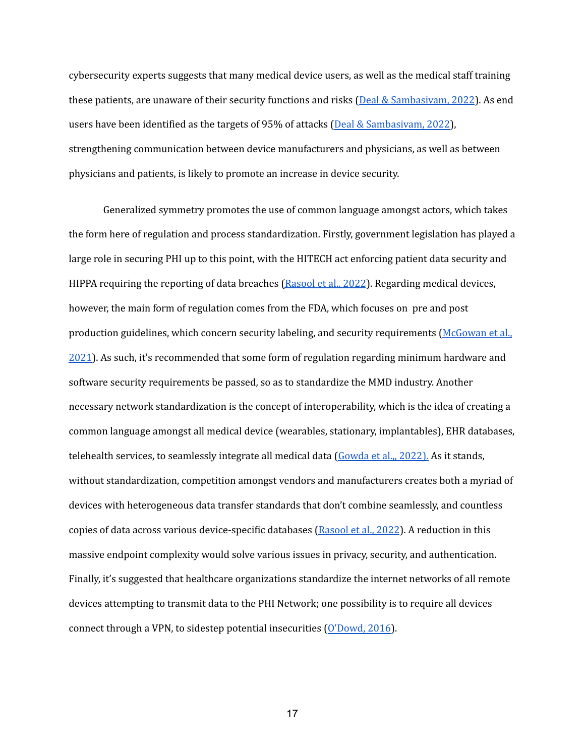cybersecurity experts suggests that many medical device users, as well as the medical staff training these patients, are unaware of their security functions and risks (Deal & [Sambasivam,](https://jisar.org/2022-15/n1/JISARv15n1.pdf#page=4) 2022). As end users have been identified as the targets of 95% of attacks (Deal & [Sambasivam,](https://jisar.org/2022-15/n1/JISARv15n1.pdf#page=4) 2022), strengthening communication between device manufacturers and physicians, as well as between physicians and patients, is likely to promote an increase in device security.

Generalized symmetry promotes the use of common language amongst actors, which takes the form here of regulation and process standardization. Firstly, government legislation has played a large role in securing PHI up to this point, with the HITECH act enforcing patient data security and HIPPA requiring the reporting of data breaches [\(Rasool](https://www.sciencedirect.com/science/article/abs/pii/S1084804522000017) et al., 2022). Regarding medical devices, however, the main form of regulation comes from the FDA, which focuses on pre and post production guidelines, which concern security labeling, and security requirements [\(McGowan](https://scholarspace.manoa.hawaii.edu/bitstream/10125/71082/0379.pdf) et al., [2021](https://scholarspace.manoa.hawaii.edu/bitstream/10125/71082/0379.pdf)). As such, it's recommended that some form of regulation regarding minimum hardware and software security requirements be passed, so as to standardize the MMD industry. Another necessary network standardization is the concept of interoperability, which is the idea of creating a common language amongst all medical device (wearables, stationary, implantables), EHR databases, telehealth services, to seamlessly integrate all medical data [\(Gowda](https://jamanetwork.com/journals/jama-health-forum/fullarticle/2788095) et al.,, 2022). As it stands, without standardization, competition amongst vendors and manufacturers creates both a myriad of devices with heterogeneous data transfer standards that don't combine seamlessly, and countless copies of data across various device-specific databases [\(Rasool](https://www.sciencedirect.com/science/article/abs/pii/S1084804522000017) et al., 2022). A reduction in this massive endpoint complexity would solve various issues in privacy, security, and authentication. Finally, it's suggested that healthcare organizations standardize the internet networks of all remote devices attempting to transmit data to the PHI Network; one possibility is to require all devices connect through a VPN, to sidestep potential insecurities [\(O'Dowd,](https://hitinfrastructure.com/news/how-virtual-private-networks-benefit-healthcare-technology) 2016).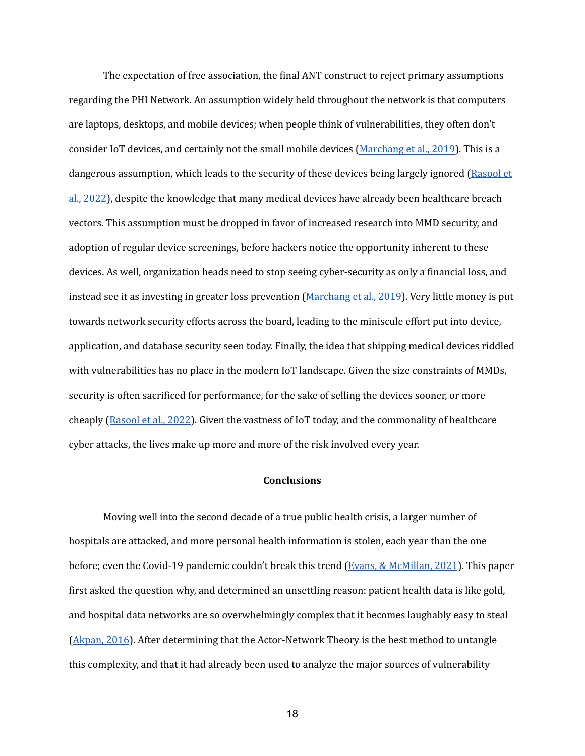The expectation of free association, the final ANT construct to reject primary assumptions regarding the PHI Network. An assumption widely held throughout the network is that computers are laptops, desktops, and mobile devices; when people think of vulnerabilities, they often don't consider IoT devices, and certainly not the small mobile devices [\(Marchang](http://shura.shu.ac.uk/24111/1/Conference%20Paper.pdf) et al., 2019). This is a dangerous assumption, which leads to the security of these devices being largely ignored [\(Rasool](https://www.sciencedirect.com/science/article/abs/pii/S1084804522000017) et al., [2022\)](https://www.sciencedirect.com/science/article/abs/pii/S1084804522000017), despite the knowledge that many medical devices have already been healthcare breach vectors. This assumption must be dropped in favor of increased research into MMD security, and adoption of regular device screenings, before hackers notice the opportunity inherent to these devices. As well, organization heads need to stop seeing cyber-security as only a financial loss, and instead see it as investing in greater loss prevention [\(Marchang](http://shura.shu.ac.uk/24111/1/Conference%20Paper.pdf) et al., 2019). Very little money is put towards network security efforts across the board, leading to the miniscule effort put into device, application, and database security seen today. Finally, the idea that shipping medical devices riddled with vulnerabilities has no place in the modern IoT landscape. Given the size constraints of MMDs, security is often sacrificed for performance, for the sake of selling the devices sooner, or more cheaply ([Rasool](https://www.sciencedirect.com/science/article/abs/pii/S1084804522000017) et al., 2022). Given the vastness of IoT today, and the commonality of healthcare cyber attacks, the lives make up more and more of the risk involved every year.

### **Conclusions**

Moving well into the second decade of a true public health crisis, a larger number of hospitals are attacked, and more personal health information is stolen, each year than the one before; even the Covid-19 pandemic couldn't break this trend (Evans, & [McMillan,](https://www.wsj.com/articles/cyberattacks-cost-hospitals-millions-during-covid-19-11614346713) 2021). This paper first asked the question why, and determined an unsettling reason: patient health data is like gold, and hospital data networks are so overwhelmingly complex that it becomes laughably easy to steal [\(Akpan,](https://www.pbs.org/newshour/science/has-health-care-hacking-become-an-epidemic) 2016). After determining that the Actor-Network Theory is the best method to untangle this complexity, and that it had already been used to analyze the major sources of vulnerability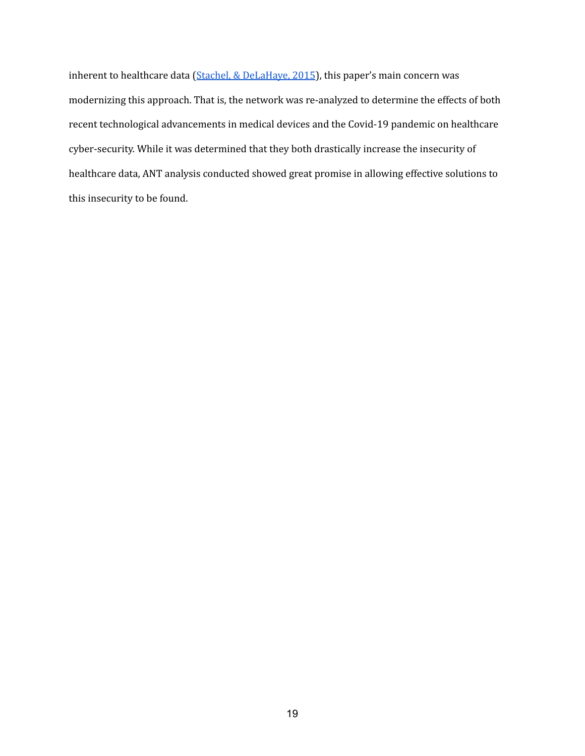inherent to healthcare data (Stachel, & [DeLaHaye,](https://pdfs.semanticscholar.org/41f8/91e32be7b3b4e4f4002139554581518daaa3.pdf) 2015), this paper's main concern was modernizing this approach. That is, the network was re-analyzed to determine the effects of both recent technological advancements in medical devices and the Covid-19 pandemic on healthcare cyber-security. While it was determined that they both drastically increase the insecurity of healthcare data, ANT analysis conducted showed great promise in allowing effective solutions to this insecurity to be found.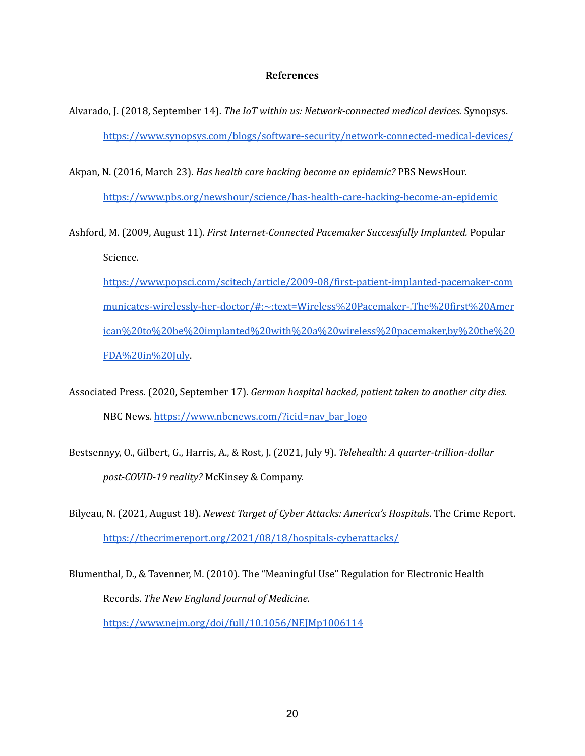#### **References**

- Alvarado, J. (2018, September 14). *The IoT within us: Network-connected medical devices.* Synopsys. <https://www.synopsys.com/blogs/software-security/network-connected-medical-devices/>
- Akpan, N. (2016, March 23). *Has health care hacking become an epidemic?* PBS NewsHour. <https://www.pbs.org/newshour/science/has-health-care-hacking-become-an-epidemic>
- Ashford, M. (2009, August 11). *First Internet-Connected Pacemaker Successfully Implanted.* Popular Science.
	- [https://www.popsci.com/scitech/article/2009-08/first-patient-implanted-pacemaker-com](https://www.popsci.com/scitech/article/2009-08/first-patient-implanted-pacemaker-communicates-wirelessly-her-doctor/#:~:text=Wireless%20Pacemaker-,The%20first%20American%20to%20be%20implanted%20with%20a%20wireless%20pacemaker,by%20the%20FDA%20in%20July) [municates-wirelessly-her-doctor/#:~:text=Wireless%20Pacemaker-,The%20first%20Amer](https://www.popsci.com/scitech/article/2009-08/first-patient-implanted-pacemaker-communicates-wirelessly-her-doctor/#:~:text=Wireless%20Pacemaker-,The%20first%20American%20to%20be%20implanted%20with%20a%20wireless%20pacemaker,by%20the%20FDA%20in%20July) [ican%20to%20be%20implanted%20with%20a%20wireless%20pacemaker,by%20the%20](https://www.popsci.com/scitech/article/2009-08/first-patient-implanted-pacemaker-communicates-wirelessly-her-doctor/#:~:text=Wireless%20Pacemaker-,The%20first%20American%20to%20be%20implanted%20with%20a%20wireless%20pacemaker,by%20the%20FDA%20in%20July) [FDA%20in%20July.](https://www.popsci.com/scitech/article/2009-08/first-patient-implanted-pacemaker-communicates-wirelessly-her-doctor/#:~:text=Wireless%20Pacemaker-,The%20first%20American%20to%20be%20implanted%20with%20a%20wireless%20pacemaker,by%20the%20FDA%20in%20July)
- Associated Press. (2020, September 17). *German hospital hacked, patient taken to another city dies.* NBC News*.* [https://www.nbcnews.com/?icid=nav\\_bar\\_logo](https://www.nbcnews.com/?icid=nav_bar_logo)
- Bestsennyy, O., Gilbert, G., Harris, A., & Rost, J. (2021, July 9). *Telehealth: A quarter-trillion-dollar post-COVID-19 reality?* McKinsey & Company.
- Bilyeau, N. (2021, August 18). *Newest Target of Cyber Attacks: America's Hospitals*. The Crime Report. <https://thecrimereport.org/2021/08/18/hospitals-cyberattacks/>
- Blumenthal, D., & Tavenner, M. (2010). The "Meaningful Use" Regulation for Electronic Health Records. *The New England Journal of Medicine.* <https://www.nejm.org/doi/full/10.1056/NEJMp1006114>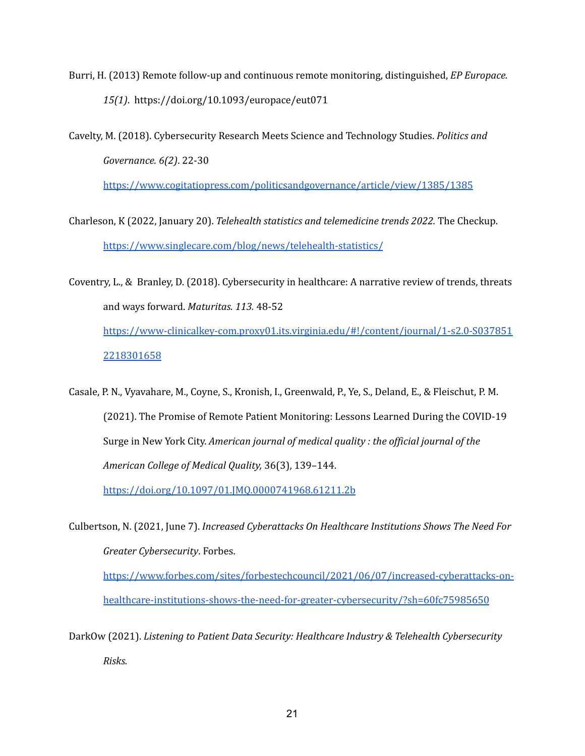Burri, H. (2013) Remote follow-up and continuous remote monitoring, distinguished, *EP Europace. 15(1)*. https://doi.org/10.1093/europace/eut071

Cavelty, M. (2018). Cybersecurity Research Meets Science and Technology Studies. *Politics and Governance. 6(2)*. 22-30

<https://www.cogitatiopress.com/politicsandgovernance/article/view/1385/1385>

- Charleson, K (2022, January 20). *Telehealth statistics and telemedicine trends 2022.* The Checkup. <https://www.singlecare.com/blog/news/telehealth-statistics/>
- Coventry, L., & Branley, D. (2018). Cybersecurity in healthcare: A narrative review of trends, threats and ways forward. *Maturitas. 113.* 48-52 [https://www-clinicalkey-com.proxy01.its.virginia.edu/#!/content/journal/1-s2.0-S037851](https://www-clinicalkey-com.proxy01.its.virginia.edu/#!/content/journal/1-s2.0-S0378512218301658) [2218301658](https://www-clinicalkey-com.proxy01.its.virginia.edu/#!/content/journal/1-s2.0-S0378512218301658)
- Casale, P. N., Vyavahare, M., Coyne, S., Kronish, I., Greenwald, P., Ye, S., Deland, E., & Fleischut, P. M. (2021). The Promise of Remote Patient Monitoring: Lessons Learned During the COVID-19 Surge in New York City. *American journal of medical quality : the of icial journal of the American College of Medical Quality,* 36(3), 139–144.

<https://doi.org/10.1097/01.JMQ.0000741968.61211.2b>

Culbertson, N. (2021, June 7). *Increased Cyberattacks On Healthcare Institutions Shows The Need For Greater Cybersecurity*. Forbes. [https://www.forbes.com/sites/forbestechcouncil/2021/06/07/increased-cyberattacks-on-](https://www.forbes.com/sites/forbestechcouncil/2021/06/07/increased-cyberattacks-on-healthcare-institutions-shows-the-need-for-greater-cybersecurity/?sh=60fc75985650)

[healthcare-institutions-shows-the-need-for-greater-cybersecurity/?sh=60fc75985650](https://www.forbes.com/sites/forbestechcouncil/2021/06/07/increased-cyberattacks-on-healthcare-institutions-shows-the-need-for-greater-cybersecurity/?sh=60fc75985650)

DarkOw (2021). *Listening to Patient Data Security: Healthcare Industry & Telehealth Cybersecurity Risks.*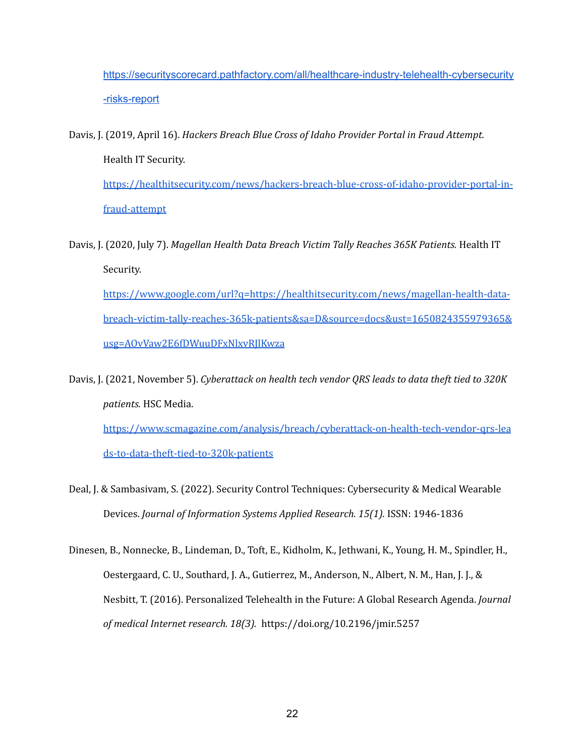[https://securityscorecard.pathfactory.com/all/healthcare-industry-telehealth-cybersecurity](https://securityscorecard.pathfactory.com/all/healthcare-industry-telehealth-cybersecurity-risks-report) [-risks-report](https://securityscorecard.pathfactory.com/all/healthcare-industry-telehealth-cybersecurity-risks-report)

- Davis, J. (2019, April 16). *Hackers Breach Blue Cross of Idaho Provider Portal in Fraud Attempt.* Health IT Security. [https://healthitsecurity.com/news/hackers-breach-blue-cross-of-idaho-provider-portal-in](https://healthitsecurity.com/news/hackers-breach-blue-cross-of-idaho-provider-portal-in-fraud-attempt)[fraud-attempt](https://healthitsecurity.com/news/hackers-breach-blue-cross-of-idaho-provider-portal-in-fraud-attempt)
- Davis, J. (2020, July 7). *Magellan Health Data Breach Victim Tally Reaches 365K Patients.* Health IT Security. [https://www.google.com/url?q=https://healthitsecurity.com/news/magellan-health-data](https://healthitsecurity.com/news/magellan-health-data-breach-victim-tally-reaches-365k-patients)[breach-victim-tally-reaches-365k-patients&sa=D&source=docs&ust=1650824355979365&](https://healthitsecurity.com/news/magellan-health-data-breach-victim-tally-reaches-365k-patients) [usg=AOvVaw2E6fDWuuDFxNlxvRJlKwza](https://healthitsecurity.com/news/magellan-health-data-breach-victim-tally-reaches-365k-patients)
- Davis, J. (2021, November 5). *Cyberattack on health tech vendor QRS leads to data theft tied to 320K patients.* HSC Media. [https://www.scmagazine.com/analysis/breach/cyberattack-on-health-tech-vendor-qrs-lea](https://www.scmagazine.com/analysis/breach/cyberattack-on-health-tech-vendor-qrs-leads-to-data-theft-tied-to-320k-patients)

[ds-to-data-theft-tied-to-320k-patients](https://www.scmagazine.com/analysis/breach/cyberattack-on-health-tech-vendor-qrs-leads-to-data-theft-tied-to-320k-patients)

- Deal, J. & Sambasivam, S. (2022). Security Control Techniques: Cybersecurity & Medical Wearable Devices. *Journal of Information Systems Applied Research. 15(1).* ISSN: 1946-1836
- Dinesen, B., Nonnecke, B., Lindeman, D., Toft, E., Kidholm, K., Jethwani, K., Young, H. M., Spindler, H., Oestergaard, C. U., Southard, J. A., Gutierrez, M., Anderson, N., Albert, N. M., Han, J. J., & Nesbitt, T. (2016). Personalized Telehealth in the Future: A Global Research Agenda. *Journal of medical Internet research. 18(3).* https://doi.org/10.2196/jmir.5257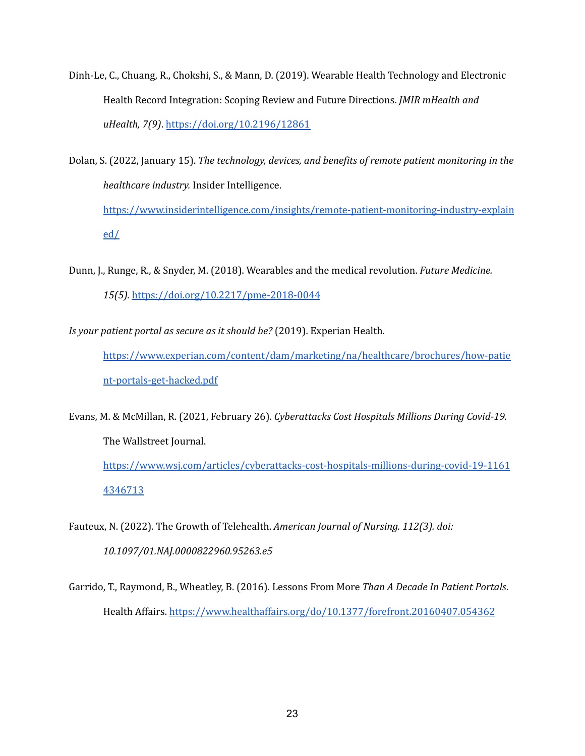- Dinh-Le, C., Chuang, R., Chokshi, S., & Mann, D. (2019). Wearable Health Technology and Electronic Health Record Integration: Scoping Review and Future Directions. *JMIR mHealth and uHealth, 7(9)*. <https://doi.org/10.2196/12861>
- Dolan, S. (2022, January 15). *The technology, devices, and benefits of remote patient monitoring in the healthcare industry.* Insider Intelligence. [https://www.insiderintelligence.com/insights/remote-patient-monitoring-industry-explain](https://www.insiderintelligence.com/insights/remote-patient-monitoring-industry-explained/) [ed/](https://www.insiderintelligence.com/insights/remote-patient-monitoring-industry-explained/)
- Dunn, J., Runge, R., & Snyder, M. (2018). Wearables and the medical revolution. *Future Medicine. 15(5).* <https://doi.org/10.2217/pme-2018-0044>
- *Is your patient portal as secure as it should be?* (2019). Experian Health.

[https://www.experian.com/content/dam/marketing/na/healthcare/brochures/how-patie](https://www.experian.com/content/dam/marketing/na/healthcare/brochures/how-patient-portals-get-hacked.pdf) [nt-portals-get-hacked.pdf](https://www.experian.com/content/dam/marketing/na/healthcare/brochures/how-patient-portals-get-hacked.pdf)

Evans, M. & McMillan, R. (2021, February 26). *Cyberattacks Cost Hospitals Millions During Covid-19.* The Wallstreet Journal. [https://www.wsj.com/articles/cyberattacks-cost-hospitals-millions-during-covid-19-1161](https://www.wsj.com/articles/cyberattacks-cost-hospitals-millions-during-covid-19-11614346713) [4346713](https://www.wsj.com/articles/cyberattacks-cost-hospitals-millions-during-covid-19-11614346713)

- Fauteux, N. (2022). The Growth of Telehealth. *American Journal of Nursing. 112(3). doi: 10.1097/01.NAJ.0000822960.95263.e5*
- Garrido, T., Raymond, B., Wheatley, B. (2016). Lessons From More *Than A Decade In Patient Portals*. Health Affairs. <https://www.healthaffairs.org/do/10.1377/forefront.20160407.054362>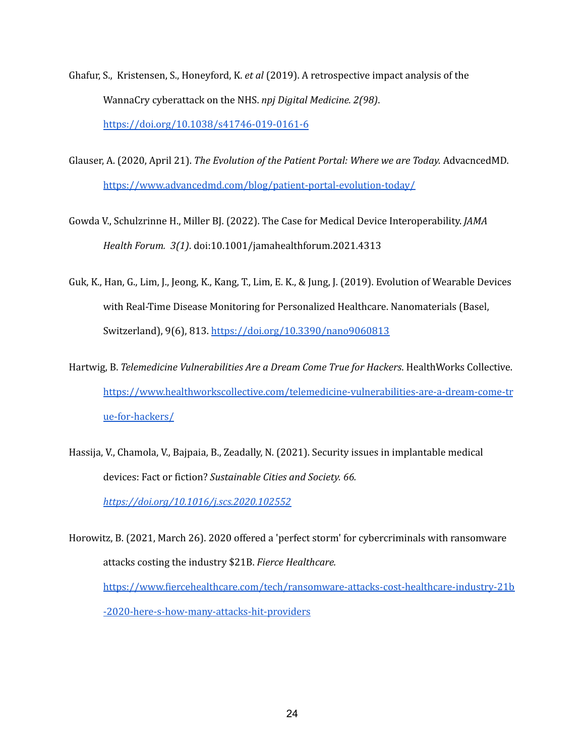- Ghafur, S., Kristensen, S., Honeyford, K. *et al* (2019). A retrospective impact analysis of the WannaCry cyberattack on the NHS. *npj Digital Medicine. 2(98)*. <https://doi.org/10.1038/s41746-019-0161-6>
- Glauser, A. (2020, April 21). *The Evolution of the Patient Portal: Where we are Today.* AdvacncedMD. <https://www.advancedmd.com/blog/patient-portal-evolution-today/>
- Gowda V., Schulzrinne H., Miller BJ. (2022). The Case for Medical Device Interoperability. *JAMA Health Forum. 3(1)*. doi:10.1001/jamahealthforum.2021.4313
- Guk, K., Han, G., Lim, J., Jeong, K., Kang, T., Lim, E. K., & Jung, J. (2019). Evolution of Wearable Devices with Real-Time Disease Monitoring for Personalized Healthcare. Nanomaterials (Basel, Switzerland), 9(6), 813. <https://doi.org/10.3390/nano9060813>
- Hartwig, B. *Telemedicine Vulnerabilities Are a Dream Come True for Hackers*. HealthWorks Collective. [https://www.healthworkscollective.com/telemedicine-vulnerabilities-are-a-dream-come-tr](https://www.healthworkscollective.com/telemedicine-vulnerabilities-are-a-dream-come-true-for-hackers/) [ue-for-hackers/](https://www.healthworkscollective.com/telemedicine-vulnerabilities-are-a-dream-come-true-for-hackers/)
- Hassija, V., Chamola, V., Bajpaia, B., Zeadally, N. (2021). Security issues in implantable medical devices: Fact or fiction? *Sustainable Cities and Society. 66. <https://doi.org/10.1016/j.scs.2020.102552>*

Horowitz, B. (2021, March 26). 2020 offered a 'perfect storm' for cybercriminals with ransomware attacks costing the industry \$21B. *Fierce Healthcare.* [https://www.fiercehealthcare.com/tech/ransomware-attacks-cost-healthcare-industry-21b](https://www.fiercehealthcare.com/tech/ransomware-attacks-cost-healthcare-industry-21b-2020-here-s-how-many-attacks-hit-providers) [-2020-here-s-how-many-attacks-hit-providers](https://www.fiercehealthcare.com/tech/ransomware-attacks-cost-healthcare-industry-21b-2020-here-s-how-many-attacks-hit-providers)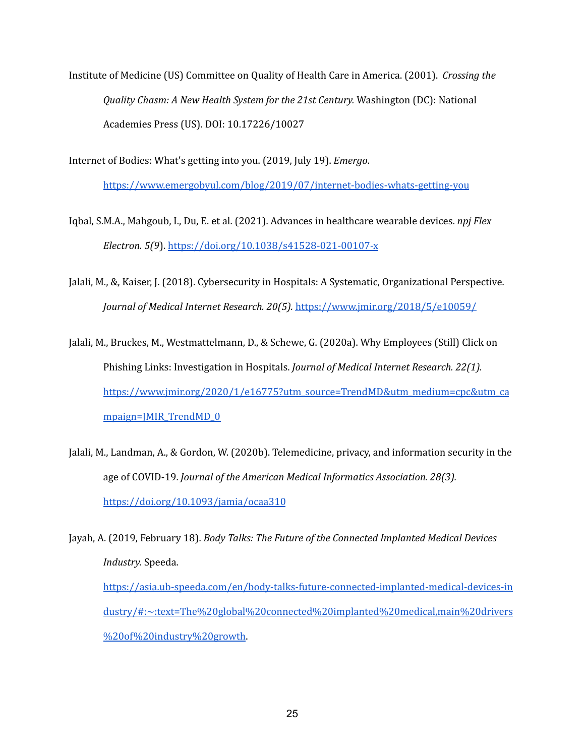Institute of Medicine (US) Committee on Quality of Health Care in America. (2001). *Crossing the Quality Chasm: A New Health System for the 21st Century.* Washington (DC): National Academies Press (US). DOI: 10.17226/10027

Internet of Bodies: What's getting into you. (2019, July 19). *Emergo*.

<https://www.emergobyul.com/blog/2019/07/internet-bodies-whats-getting-you>

Iqbal, S.M.A., Mahgoub, I., Du, E. et al. (2021). Advances in healthcare wearable devices. *npj Flex Electron. 5(9*). <https://doi.org/10.1038/s41528-021-00107-x>

- Jalali, M., &, Kaiser, J. (2018). Cybersecurity in Hospitals: A Systematic, Organizational Perspective. *Journal of Medical Internet Research. 20(5).* <https://www.jmir.org/2018/5/e10059/>
- Jalali, M., Bruckes, M., Westmattelmann, D., & Schewe, G. (2020a). Why Employees (Still) Click on Phishing Links: Investigation in Hospitals. *Journal of Medical Internet Research. 22(1).* [https://www.jmir.org/2020/1/e16775?utm\\_source=TrendMD&utm\\_medium=cpc&utm\\_ca](https://www.jmir.org/2020/1/e16775?utm_source=TrendMD&utm_medium=cpc&utm_campaign=JMIR_TrendMD_0) [mpaign=JMIR\\_TrendMD\\_0](https://www.jmir.org/2020/1/e16775?utm_source=TrendMD&utm_medium=cpc&utm_campaign=JMIR_TrendMD_0)
- Jalali, M., Landman, A., & Gordon, W. (2020b). Telemedicine, privacy, and information security in the age of COVID-19. *Journal of the American Medical Informatics Association. 28(3).* <https://doi.org/10.1093/jamia/ocaa310>

Jayah, A. (2019, February 18). *Body Talks: The Future of the Connected Implanted Medical Devices Industry.* Speeda. [https://asia.ub-speeda.com/en/body-talks-future-connected-implanted-medical-devices-in](https://asia.ub-speeda.com/en/body-talks-future-connected-implanted-medical-devices-industry/#:~:text=The%20global%20connected%20implanted%20medical,main%20drivers%20of%20industry%20growth) [dustry/#:~:text=The%20global%20connected%20implanted%20medical,main%20drivers](https://asia.ub-speeda.com/en/body-talks-future-connected-implanted-medical-devices-industry/#:~:text=The%20global%20connected%20implanted%20medical,main%20drivers%20of%20industry%20growth) [%20of%20industry%20growth](https://asia.ub-speeda.com/en/body-talks-future-connected-implanted-medical-devices-industry/#:~:text=The%20global%20connected%20implanted%20medical,main%20drivers%20of%20industry%20growth).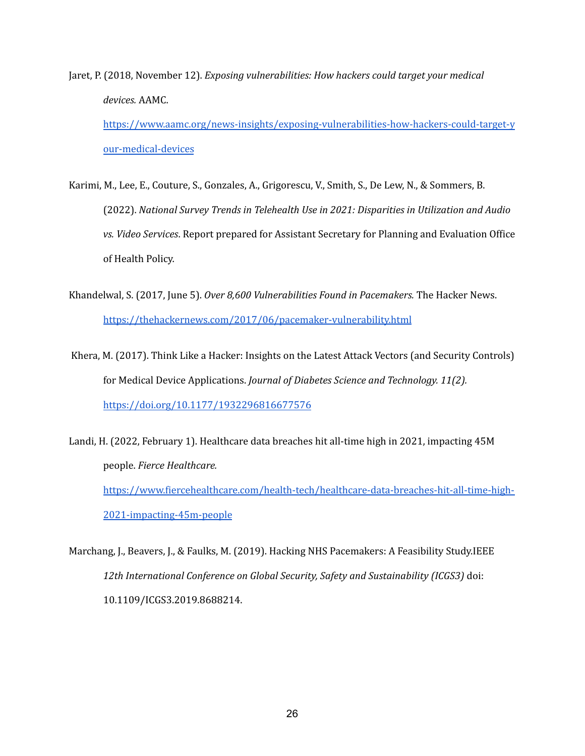Jaret, P. (2018, November 12). *Exposing vulnerabilities: How hackers could target your medical devices.* AAMC.

[https://www.aamc.org/news-insights/exposing-vulnerabilities-how-hackers-could-target-y](https://www.aamc.org/news-insights/exposing-vulnerabilities-how-hackers-could-target-your-medical-devices) [our-medical-devices](https://www.aamc.org/news-insights/exposing-vulnerabilities-how-hackers-could-target-your-medical-devices)

- Karimi, M., Lee, E., Couture, S., Gonzales, A., Grigorescu, V., Smith, S., De Lew, N., & Sommers, B. (2022). *National Survey Trends in Telehealth Use in 2021: Disparities in Utilization and Audio vs. Video Services*. Report prepared for Assistant Secretary for Planning and Evaluation Office of Health Policy.
- Khandelwal, S. (2017, June 5). *Over 8,600 Vulnerabilities Found in Pacemakers.* The Hacker News. <https://thehackernews.com/2017/06/pacemaker-vulnerability.html>
- Khera, M. (2017). Think Like a Hacker: Insights on the Latest Attack Vectors (and Security Controls) for Medical Device Applications. *Journal of Diabetes Science and Technology. 11(2).* <https://doi.org/10.1177/1932296816677576>
- Landi, H. (2022, February 1). Healthcare data breaches hit all-time high in 2021, impacting 45M people. *Fierce Healthcare.* [https://www.fiercehealthcare.com/health-tech/healthcare-data-breaches-hit-all-time-high-](https://www.fiercehealthcare.com/health-tech/healthcare-data-breaches-hit-all-time-high-2021-impacting-45m-people)[2021-impacting-45m-people](https://www.fiercehealthcare.com/health-tech/healthcare-data-breaches-hit-all-time-high-2021-impacting-45m-people)
- Marchang, J., Beavers, J., & Faulks, M. (2019). Hacking NHS Pacemakers: A Feasibility Study.IEEE *12th International Conference on Global Security, Safety and Sustainability (ICGS3)* doi: 10.1109/ICGS3.2019.8688214.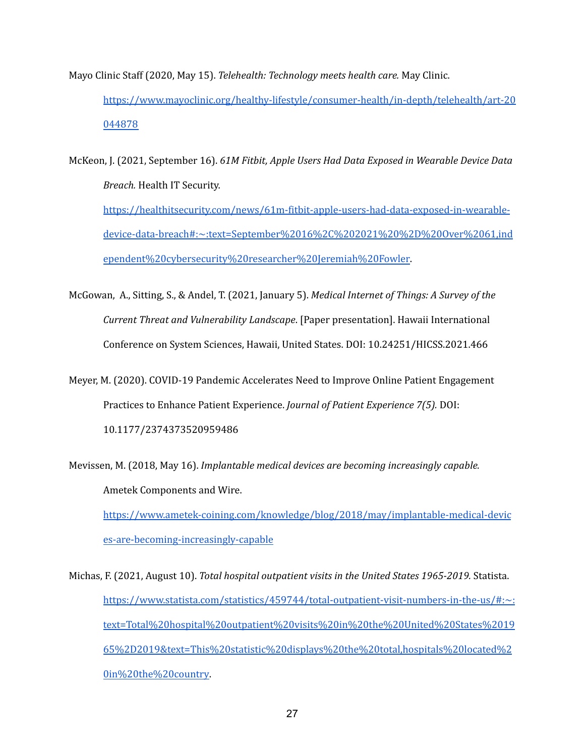- Mayo Clinic Staff (2020, May 15). *Telehealth: Technology meets health care.* May Clinic. [https://www.mayoclinic.org/healthy-lifestyle/consumer-health/in-depth/telehealth/art-20](https://www.mayoclinic.org/healthy-lifestyle/consumer-health/in-depth/telehealth/art-20044878) [044878](https://www.mayoclinic.org/healthy-lifestyle/consumer-health/in-depth/telehealth/art-20044878)
- McKeon, J. (2021, September 16). *61M Fitbit, Apple Users Had Data Exposed in Wearable Device Data Breach.* Health IT Security. [https://healthitsecurity.com/news/61m-fitbit-apple-users-had-data-exposed-in-wearable](https://healthitsecurity.com/news/61m-fitbit-apple-users-had-data-exposed-in-wearable-device-data-breach#:~:text=September%2016%2C%202021%20%2D%20Over%2061,independent%20cybersecurity%20researcher%20Jeremiah%20Fowler)[device-data-breach#:~:text=September%2016%2C%202021%20%2D%20Over%2061,ind](https://healthitsecurity.com/news/61m-fitbit-apple-users-had-data-exposed-in-wearable-device-data-breach#:~:text=September%2016%2C%202021%20%2D%20Over%2061,independent%20cybersecurity%20researcher%20Jeremiah%20Fowler) [ependent%20cybersecurity%20researcher%20Jeremiah%20Fowler](https://healthitsecurity.com/news/61m-fitbit-apple-users-had-data-exposed-in-wearable-device-data-breach#:~:text=September%2016%2C%202021%20%2D%20Over%2061,independent%20cybersecurity%20researcher%20Jeremiah%20Fowler).
- McGowan, A., Sitting, S., & Andel, T. (2021, January 5). *Medical Internet of Things: A Survey of the Current Threat and Vulnerability Landscape*. [Paper presentation]. Hawaii International Conference on System Sciences, Hawaii, United States. DOI: 10.24251/HICSS.2021.466
- Meyer, M. (2020). COVID-19 Pandemic Accelerates Need to Improve Online Patient Engagement Practices to Enhance Patient Experience. *Journal of Patient Experience 7(5).* DOI: 10.1177/2374373520959486

Mevissen, M. (2018, May 16). *Implantable medical devices are becoming increasingly capable.* Ametek Components and Wire. [https://www.ametek-coining.com/knowledge/blog/2018/may/implantable-medical-devic](https://www.ametek-coining.com/knowledge/blog/2018/may/implantable-medical-devices-are-becoming-increasingly-capable) [es-are-becoming-increasingly-capable](https://www.ametek-coining.com/knowledge/blog/2018/may/implantable-medical-devices-are-becoming-increasingly-capable)

Michas, F. (2021, August 10). *Total hospital outpatient visits in the United States 1965-2019.* Statista. [https://www.statista.com/statistics/459744/total-outpatient-visit-numbers-in-the-us/#:~:](https://www.statista.com/statistics/459744/total-outpatient-visit-numbers-in-the-us/#:~:text=Total%20hospital%20outpatient%20visits%20in%20the%20United%20States%201965%2D2019&text=This%20statistic%20displays%20the%20total,hospitals%20located%20in%20the%20country) [text=Total%20hospital%20outpatient%20visits%20in%20the%20United%20States%2019](https://www.statista.com/statistics/459744/total-outpatient-visit-numbers-in-the-us/#:~:text=Total%20hospital%20outpatient%20visits%20in%20the%20United%20States%201965%2D2019&text=This%20statistic%20displays%20the%20total,hospitals%20located%20in%20the%20country) [65%2D2019&text=This%20statistic%20displays%20the%20total,hospitals%20located%2](https://www.statista.com/statistics/459744/total-outpatient-visit-numbers-in-the-us/#:~:text=Total%20hospital%20outpatient%20visits%20in%20the%20United%20States%201965%2D2019&text=This%20statistic%20displays%20the%20total,hospitals%20located%20in%20the%20country) [0in%20the%20country](https://www.statista.com/statistics/459744/total-outpatient-visit-numbers-in-the-us/#:~:text=Total%20hospital%20outpatient%20visits%20in%20the%20United%20States%201965%2D2019&text=This%20statistic%20displays%20the%20total,hospitals%20located%20in%20the%20country).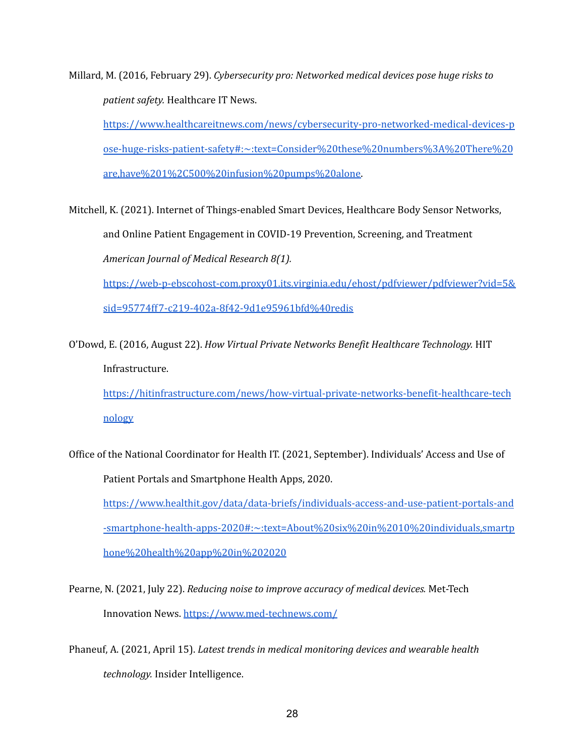Millard, M. (2016, February 29). *Cybersecurity pro: Networked medical devices pose huge risks to patient safety.* Healthcare IT News.

[https://www.healthcareitnews.com/news/cybersecurity-pro-networked-medical-devices-p](https://www.healthcareitnews.com/news/cybersecurity-pro-networked-medical-devices-pose-huge-risks-patient-safety#:~:text=Consider%20these%20numbers%3A%20There%20are,have%201%2C500%20infusion%20pumps%20alone) [ose-huge-risks-patient-safety#:~:text=Consider%20these%20numbers%3A%20There%20](https://www.healthcareitnews.com/news/cybersecurity-pro-networked-medical-devices-pose-huge-risks-patient-safety#:~:text=Consider%20these%20numbers%3A%20There%20are,have%201%2C500%20infusion%20pumps%20alone) [are,have%201%2C500%20infusion%20pumps%20alone.](https://www.healthcareitnews.com/news/cybersecurity-pro-networked-medical-devices-pose-huge-risks-patient-safety#:~:text=Consider%20these%20numbers%3A%20There%20are,have%201%2C500%20infusion%20pumps%20alone)

Mitchell, K. (2021). Internet of Things-enabled Smart Devices, Healthcare Body Sensor Networks, and Online Patient Engagement in COVID-19 Prevention, Screening, and Treatment *American Journal of Medical Research 8(1).*

[https://web-p-ebscohost-com.proxy01.its.virginia.edu/ehost/pdfviewer/pdfviewer?vid=5&](https://web-p-ebscohost-com.proxy01.its.virginia.edu/ehost/pdfviewer/pdfviewer?vid=5&sid=95774ff7-c219-402a-8f42-9d1e95961bfd%40redis) [sid=95774ff7-c219-402a-8f42-9d1e95961bfd%40redis](https://web-p-ebscohost-com.proxy01.its.virginia.edu/ehost/pdfviewer/pdfviewer?vid=5&sid=95774ff7-c219-402a-8f42-9d1e95961bfd%40redis)

O'Dowd, E. (2016, August 22). *How Virtual Private Networks Benefit Healthcare Technology.* HIT Infrastructure.

[https://hitinfrastructure.com/news/how-virtual-private-networks-benefit-healthcare-tech](https://hitinfrastructure.com/news/how-virtual-private-networks-benefit-healthcare-technology) [nology](https://hitinfrastructure.com/news/how-virtual-private-networks-benefit-healthcare-technology)

Office of the National Coordinator for Health IT. (2021, September). Individuals' Access and Use of Patient Portals and Smartphone Health Apps, 2020.

[https://www.healthit.gov/data/data-briefs/individuals-access-and-use-patient-portals-and](https://www.healthit.gov/data/data-briefs/individuals-access-and-use-patient-portals-and-smartphone-health-apps-2020#:~:text=About%20six%20in%2010%20individuals,smartphone%20health%20app%20in%202020) [-smartphone-health-apps-2020#:~:text=About%20six%20in%2010%20individuals,smartp](https://www.healthit.gov/data/data-briefs/individuals-access-and-use-patient-portals-and-smartphone-health-apps-2020#:~:text=About%20six%20in%2010%20individuals,smartphone%20health%20app%20in%202020) [hone%20health%20app%20in%202020](https://www.healthit.gov/data/data-briefs/individuals-access-and-use-patient-portals-and-smartphone-health-apps-2020#:~:text=About%20six%20in%2010%20individuals,smartphone%20health%20app%20in%202020)

Pearne, N. (2021, July 22). *Reducing noise to improve accuracy of medical devices.* Met-Tech Innovation News. <https://www.med-technews.com/>

Phaneuf, A. (2021, April 15). *Latest trends in medical monitoring devices and wearable health technology.* Insider Intelligence.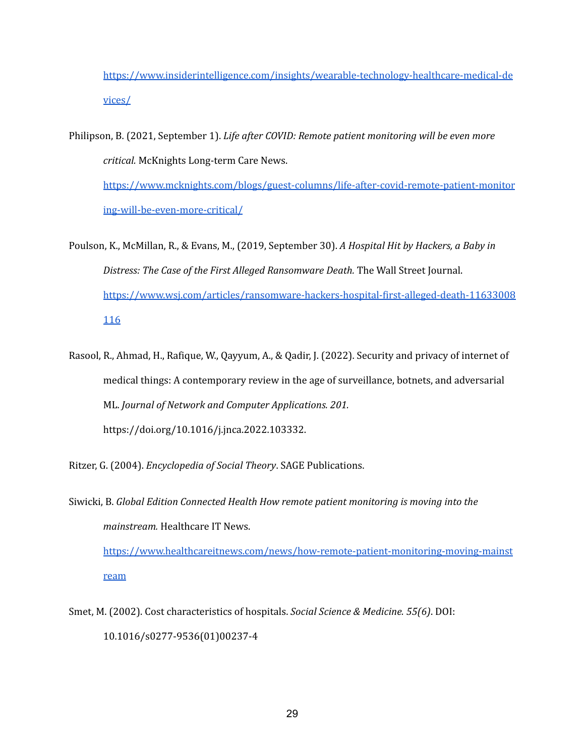[https://www.insiderintelligence.com/insights/wearable-technology-healthcare-medical-de](https://www.insiderintelligence.com/insights/wearable-technology-healthcare-medical-devices/) [vices/](https://www.insiderintelligence.com/insights/wearable-technology-healthcare-medical-devices/)

Philipson, B. (2021, September 1). *Life after COVID: Remote patient monitoring will be even more critical.* McKnights Long-term Care News.

[https://www.mcknights.com/blogs/guest-columns/life-after-covid-remote-patient-monitor](https://www.mcknights.com/blogs/guest-columns/life-after-covid-remote-patient-monitoring-will-be-even-more-critical/) [ing-will-be-even-more-critical/](https://www.mcknights.com/blogs/guest-columns/life-after-covid-remote-patient-monitoring-will-be-even-more-critical/)

- Poulson, K., McMillan, R., & Evans, M., (2019, September 30). *A Hospital Hit by Hackers, a Baby in Distress: The Case of the First Alleged Ransomware Death.* The Wall Street Journal. [https://www.wsj.com/articles/ransomware-hackers-hospital-first-alleged-death-11633008](https://www.wsj.com/articles/ransomware-hackers-hospital-first-alleged-death-11633008116) [116](https://www.wsj.com/articles/ransomware-hackers-hospital-first-alleged-death-11633008116)
- Rasool, R., Ahmad, H., Rafique, W., Qayyum, A., & Qadir, J. (2022). Security and privacy of internet of medical things: A contemporary review in the age of surveillance, botnets, and adversarial ML. *Journal of Network and Computer Applications. 201.* https://doi.org/10.1016/j.jnca.2022.103332.

Ritzer, G. (2004). *Encyclopedia of Social Theory*. SAGE Publications.

Siwicki, B. *Global Edition Connected Health How remote patient monitoring is moving into the mainstream.* Healthcare IT News.

[https://www.healthcareitnews.com/news/how-remote-patient-monitoring-moving-mainst](https://www.healthcareitnews.com/news/how-remote-patient-monitoring-moving-mainstream) [ream](https://www.healthcareitnews.com/news/how-remote-patient-monitoring-moving-mainstream)

Smet, M. (2002). Cost characteristics of hospitals. *Social Science & Medicine. 55(6)*. DOI: 10.1016/s0277-9536(01)00237-4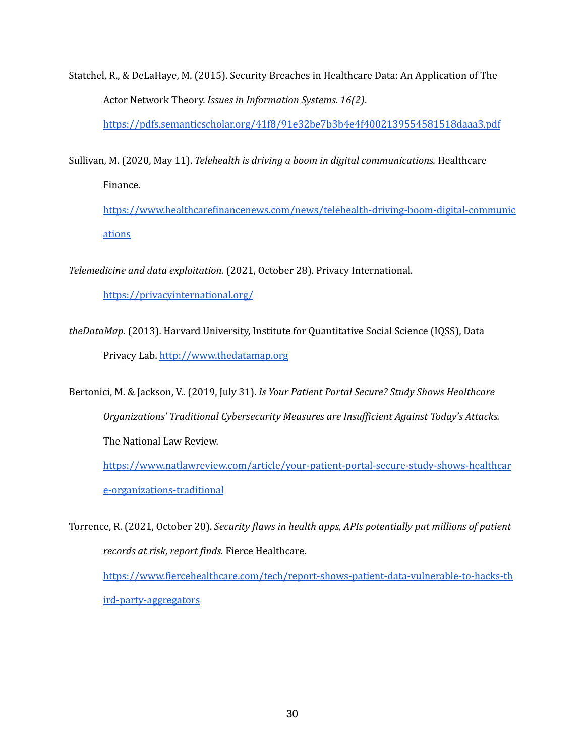Statchel, R., & DeLaHaye, M. (2015). Security Breaches in Healthcare Data: An Application of The Actor Network Theory. *Issues in Information Systems. 16(2)*.

<https://pdfs.semanticscholar.org/41f8/91e32be7b3b4e4f4002139554581518daaa3.pdf>

Sullivan, M. (2020, May 11). *Telehealth is driving a boom in digital communications.* Healthcare

Finance.

[https://www.healthcarefinancenews.com/news/telehealth-driving-boom-digital-communic](https://www.healthcarefinancenews.com/news/telehealth-driving-boom-digital-communications) [ations](https://www.healthcarefinancenews.com/news/telehealth-driving-boom-digital-communications)

*Telemedicine and data exploitation.* (2021, October 28). Privacy International.

<https://privacyinternational.org/>

*theDataMap*. (2013). Harvard University, Institute for Quantitative Social Science (IQSS), Data Privacy Lab. <http://www.thedatamap.org>

Bertonici, M. & Jackson, V.. (2019, July 31). *Is Your Patient Portal Secure? Study Shows Healthcare Organizations' Traditional Cybersecurity Measures are Insuf icient Against Today's Attacks.* The National Law Review.

[https://www.natlawreview.com/article/your-patient-portal-secure-study-shows-healthcar](https://www.natlawreview.com/article/your-patient-portal-secure-study-shows-healthcare-organizations-traditional) [e-organizations-traditional](https://www.natlawreview.com/article/your-patient-portal-secure-study-shows-healthcare-organizations-traditional)

Torrence, R. (2021, October 20). *Security flaws in health apps, APIs potentially put millions of patient records at risk, report finds.* Fierce Healthcare. [https://www.fiercehealthcare.com/tech/report-shows-patient-data-vulnerable-to-hacks-th](https://www.fiercehealthcare.com/tech/report-shows-patient-data-vulnerable-to-hacks-third-party-aggregators) [ird-party-aggregators](https://www.fiercehealthcare.com/tech/report-shows-patient-data-vulnerable-to-hacks-third-party-aggregators)